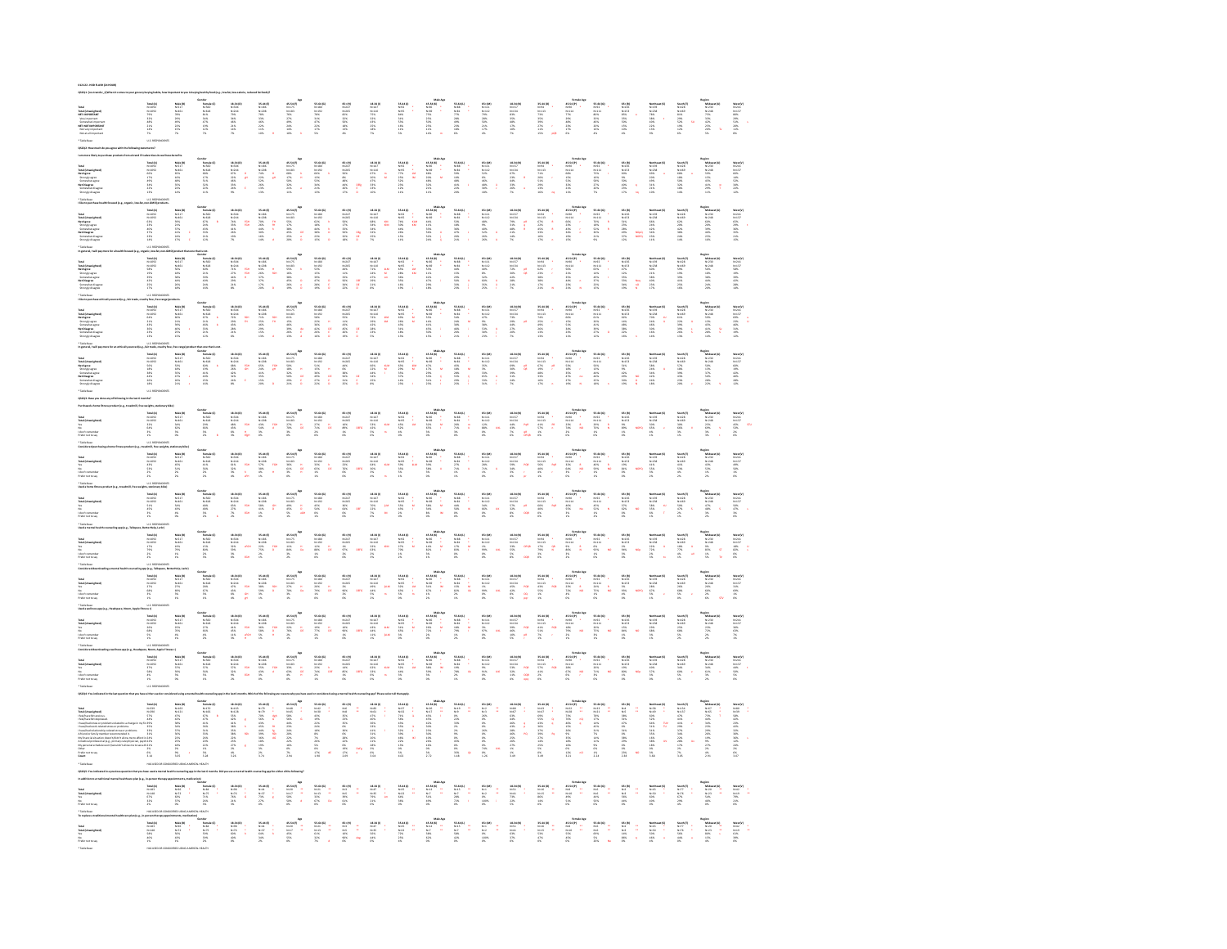|                                                                                                                                             | 7662630<br>N=1092<br>N=1092<br>N=1095<br>2215<br>2215<br>1415  | Male [8]<br>Noti 12<br>Noti 12 2016<br>2016<br>2016<br>2016<br>2016                                                                                  | Denader<br>Personal Personal<br>Personal<br>Personal Personal<br>Personal<br>Personal<br>Personal<br>Personal<br>Personal Personal<br>Personal Personal                                                                                                                                                                                                                                                              |                                                                                                                                                                                                                                                                                                                                                                                                                             | 3544(8)<br>N=126<br>N=126<br>N=126<br>2216<br>2216<br>2216                                                                                                                                                                                                                                                                                                                                                           | 45 44 (f)<br>N=1 75<br>N=1 25<br>N=1 27 %<br>27 %<br>28 %<br>24 %<br>14 %                                                                                                                                                                                                                                                                                                                                                                            | $\begin{array}{r} 8.9 - 6.6 \; (0) \\ \begin{array}{r} 9.1 - 5.0 \\ 1.0 \; 1.0 \\ 2.0 \; 1.0 \\ 3.1 \; 1.0 \\ 4.2 \; 1.0 \\ 2.2 \; 1.0 \\ 1.2 \; 1.0 \\ 1.2 \; 1.0 \\ 5.0 \\ \end{array} \end{array}$                                                                                                                                  | $\begin{array}{l} 65 + [8] \\ \hline 76 - 247 \\ \hline 8275 \\ \hline 8275 \\ \hline 3275 \\ \hline 3275 \\ \hline 3275 \\ \hline 3275 \\ \hline 3275 \\ \hline 3275 \\ \hline 3275 \\ \hline 3275 \\ \hline 3275 \\ \hline \end{array}$                                                                                                                                                                        | $\begin{array}{r} 18\,44\,0\\ \text{Na-12}\\ \text{Na-13}\\ \text{Na-15}\\ \text{AlN}\\ \text{AlN}\\ \text{AlN}\\ \text{AlN}\\ \text{AlN}\\ \text{AlN}\\ \text{AlN}\\ \end{array}$                                                                                                                                                                                                                              | $\begin{array}{ccc} 16-64.0 & & & & \\ 70-82 & & & & \\ 70-85 & & & & \\ 70-85 & & & & \\ 34.75 & & & & \\ 34.76 & & & & \\ 54.76 & & & & \\ 14.76 & & & & \\ 14.76 & & & & \\ 14.76 & & & & \\ 14.76 & & & & \\ 14.76 & & & & \\ 15.76 & & & & \\ 15.76 & & & & \\ 15.76 & & & & \\ 15.76 & & & & \\ 15.76 & & & & \\ 15.76 & & & & \\ 15.76 & & & & \\ 1$ |                                                                                                                                                                                                                                                                                                                                                                                                                                                        | $\begin{array}{cccc} \text{MSE} & \text{MSE} & \text{MSE} & \text{MSE} \\ \text{MSE} & \text{MSE} & \text{MSE} & \text{MSE} \\ \text{NSE} & \text{NSE} & \text{MSE} & \text{MSE} \\ \text{NSE} & \text{MSE} & \text{MSE} \\ \text{NSE} & \text{MSE} & \text{MSE} \\ \text{MSE} & \text{MSE} & \text{MSE} \\ \text{MSE} & \text{MSE} & \text{MSE} \\ \end{array}$                                                                                                                   | 68+[M]<br>N=112<br>N=122<br>N=105<br>S21%<br>21%<br>21%                                                                                                                                                | $\begin{array}{r} 18.88\,90\\ \rm{Na\,151}\\ 81\%\\ 21\%\\ 21\%\\ 17\%\\ 17\%\\ 27\%\\ 27\%\\ \end{array}$                                                                                                                                                                                                                                                                                                                            |                                                                                                                                                                                                                                                                                                                                                            |                                                                                                                                                                                                                                                                                                                                                                                                                | $\begin{array}{l} 83\,44\,93 \\ 80\,92 \\ 80\,93 \\ 80\,95 \\ 80\,95 \\ 80\,95 \\ 20\,95 \\ 20\,95 \\ 20\,95 \\ 20\,95 \\ 20\,95 \\ 20\,95 \\ 20\,95 \\ 20\,95 \\ 20\,95 \\ 20\,95 \\ 20\,95 \\ 20\,96 \\ 20\,96 \\ 20\,97 \\ 20\,97 \\ 20\,98 \\ 20\,99 \\ 20\,99 \\ 20\,99 \\ 20\,99 \\ $ | $\begin{tabular}{ll} \bf 61+ [9] & & & & & & & \\ \bf 81+ [8] & & & & & & & \\ \bf 91+ [1] & & & & & & & \\ \bf 91+ [1] & & & & & & \\ \bf 118+ & & & & & & \\ \bf 128+ & & & & & & \\ \bf 139+ & & & & & & \\ \bf 139+ & & & & & & \\ \bf 139+ & & & & & & \\ \bf 139+ & & & & & & \\ \bf 139+ & & & & & & \\ \bf 139+ & & & & & & \\ \bf 139+ & & & & & & \\ \bf 139+ & & & & & & \\ \bf 13$ |                                                                                                                                                                                                                                                                                                                                                                                                                            |                                                                                                                                                                                                                                                                                                                                                                                                                                     | North (Y) Region<br>Model Model<br>Model Model<br>Model Model<br>XYS 30 425<br>XYS 30 425<br>XYS 30 425<br>XYS 30 425<br>XYS 30 425<br>XYS 30 425                                                                                                                                                                                                                                                                                                                                               | West [V]<br>N=283<br>N=127<br>N=16<br>29%<br>20%<br>20%<br>21%                                                                                                                                                                                                                                                                                                                                                                                                                |
|---------------------------------------------------------------------------------------------------------------------------------------------|----------------------------------------------------------------|------------------------------------------------------------------------------------------------------------------------------------------------------|----------------------------------------------------------------------------------------------------------------------------------------------------------------------------------------------------------------------------------------------------------------------------------------------------------------------------------------------------------------------------------------------------------------------|-----------------------------------------------------------------------------------------------------------------------------------------------------------------------------------------------------------------------------------------------------------------------------------------------------------------------------------------------------------------------------------------------------------------------------|----------------------------------------------------------------------------------------------------------------------------------------------------------------------------------------------------------------------------------------------------------------------------------------------------------------------------------------------------------------------------------------------------------------------|------------------------------------------------------------------------------------------------------------------------------------------------------------------------------------------------------------------------------------------------------------------------------------------------------------------------------------------------------------------------------------------------------------------------------------------------------|----------------------------------------------------------------------------------------------------------------------------------------------------------------------------------------------------------------------------------------------------------------------------------------------------------------------------------------|------------------------------------------------------------------------------------------------------------------------------------------------------------------------------------------------------------------------------------------------------------------------------------------------------------------------------------------------------------------------------------------------------------------|-----------------------------------------------------------------------------------------------------------------------------------------------------------------------------------------------------------------------------------------------------------------------------------------------------------------------------------------------------------------------------------------------------------------|-------------------------------------------------------------------------------------------------------------------------------------------------------------------------------------------------------------------------------------------------------------------------------------------------------------------------------------------------------------|--------------------------------------------------------------------------------------------------------------------------------------------------------------------------------------------------------------------------------------------------------------------------------------------------------------------------------------------------------------------------------------------------------------------------------------------------------|------------------------------------------------------------------------------------------------------------------------------------------------------------------------------------------------------------------------------------------------------------------------------------------------------------------------------------------------------------------------------------------------------------------------------------------------------------------------------------|--------------------------------------------------------------------------------------------------------------------------------------------------------------------------------------------------------|---------------------------------------------------------------------------------------------------------------------------------------------------------------------------------------------------------------------------------------------------------------------------------------------------------------------------------------------------------------------------------------------------------------------------------------|------------------------------------------------------------------------------------------------------------------------------------------------------------------------------------------------------------------------------------------------------------------------------------------------------------------------------------------------------------|----------------------------------------------------------------------------------------------------------------------------------------------------------------------------------------------------------------------------------------------------------------------------------------------------------------------------------------------------------------------------------------------------------------|---------------------------------------------------------------------------------------------------------------------------------------------------------------------------------------------------------------------------------------------------------------------------------------------|------------------------------------------------------------------------------------------------------------------------------------------------------------------------------------------------------------------------------------------------------------------------------------------------------------------------------------------------------------------------------------------------|----------------------------------------------------------------------------------------------------------------------------------------------------------------------------------------------------------------------------------------------------------------------------------------------------------------------------------------------------------------------------------------------------------------------------|-------------------------------------------------------------------------------------------------------------------------------------------------------------------------------------------------------------------------------------------------------------------------------------------------------------------------------------------------------------------------------------------------------------------------------------|-------------------------------------------------------------------------------------------------------------------------------------------------------------------------------------------------------------------------------------------------------------------------------------------------------------------------------------------------------------------------------------------------------------------------------------------------------------------------------------------------|-------------------------------------------------------------------------------------------------------------------------------------------------------------------------------------------------------------------------------------------------------------------------------------------------------------------------------------------------------------------------------------------------------------------------------------------------------------------------------|
|                                                                                                                                             |                                                                |                                                                                                                                                      |                                                                                                                                                                                                                                                                                                                                                                                                                      |                                                                                                                                                                                                                                                                                                                                                                                                                             |                                                                                                                                                                                                                                                                                                                                                                                                                      |                                                                                                                                                                                                                                                                                                                                                                                                                                                      |                                                                                                                                                                                                                                                                                                                                        |                                                                                                                                                                                                                                                                                                                                                                                                                  |                                                                                                                                                                                                                                                                                                                                                                                                                 |                                                                                                                                                                                                                                                                                                                                                             |                                                                                                                                                                                                                                                                                                                                                                                                                                                        |                                                                                                                                                                                                                                                                                                                                                                                                                                                                                    |                                                                                                                                                                                                        |                                                                                                                                                                                                                                                                                                                                                                                                                                       |                                                                                                                                                                                                                                                                                                                                                            |                                                                                                                                                                                                                                                                                                                                                                                                                |                                                                                                                                                                                                                                                                                             |                                                                                                                                                                                                                                                                                                                                                                                                |                                                                                                                                                                                                                                                                                                                                                                                                                            |                                                                                                                                                                                                                                                                                                                                                                                                                                     |                                                                                                                                                                                                                                                                                                                                                                                                                                                                                                 |                                                                                                                                                                                                                                                                                                                                                                                                                                                                               |
| Tutal<br>Tutal Jänuseigi<br>Net Agree<br>Someahat ag<br>Someahat di<br>Someahat di<br>Someahat di                                           | 7604(A)<br>N=1092<br>N=1092<br>GSS<br>GSS<br>17%<br>27%<br>27% | Male (8)<br>19:512<br>19:55<br>19:55<br>19:55<br>19:55<br>19:55                                                                                      | Sender<br>Penade (C)<br>Notata<br>Notata<br>Notata<br>Notata<br>Notata<br>Notata                                                                                                                                                                                                                                                                                                                                     | $\begin{tabular}{l c c c} \multicolumn{1}{c}{\textbf{11-11}} & \multicolumn{1}{c}{\textbf{12-11}} & \multicolumn{1}{c}{\textbf{13-11}} & \multicolumn{1}{c}{\textbf{14-11}} & \multicolumn{1}{c}{\textbf{15-11}} & \multicolumn{1}{c}{\textbf{16-11}} & \multicolumn{1}{c}{\textbf{17-11}} & \multicolumn{1}{c}{\textbf{18-11}} & \multicolumn{1}{c}{\textbf{19-11}} & \multicolumn{1}{c}{\textbf{19-11}} & \multicolumn{1$ | 25-44(8)<br>Nordes<br>Nordes<br>Nors<br>22% - 24%<br>22% - 22%<br>22% -                                                                                                                                                                                                                                                                                                                                              | $\begin{array}{lcl} \textbf{A}\textbf{p} & & & \textbf{A}\textbf{p} \\ \textbf{a1} & \textbf{a1} & \textbf{p} \\ \textbf{n1} & \textbf{n1} & \textbf{n1} \\ \textbf{n1} & \textbf{n1} & \textbf{n1} \\ \textbf{a2} & \textbf{n1} & \textbf{n1} \\ \textbf{a3} & \textbf{n2} & \textbf{n1} \\ \textbf{a4} & \textbf{n1} & \textbf{n1} \\ \textbf{a5} & \textbf{n2} & \textbf{n1} \\ \textbf{a6} & \textbf{n1} & \textbf{n1} \\ \textbf{a7} & \textbf$ | $\begin{array}{r} 83.641\, [3] \\ \rm N=510 \\ \rm N=92 \\ \rm 64\,N \\ \rm 13\,N \\ \rm 53\,N \\ \rm 24\,N \\ \rm 23\,N \\ \rm 23\,N \\ \rm 23\,N \\ \rm 24\,N \\ \rm 24\,N \\ \rm 25\,N \\ \rm 24\,N \\ \rm 24\,N \\ \rm 25\,N \\ \rm 26\,N \\ \rm 27\,N \\ \rm 28\,N \\ \rm 29\,N \\ \rm 21\,N \\ \rm 21\,N \\ \rm 22\,N \\ \rm 23$ | 65+34)<br>76-265<br>5676<br>6556 6616<br>6556 6616<br>2176 6                                                                                                                                                                                                                                                                                                                                                     | $\begin{array}{rcl} 138.04(3) & & & & & \\ 99.04(3) & & & & & \\ 64.76 & & & & & \\ 64.76 & & & & & \\ 2426 & & & & & \\ 2426 & & & & & \\ 2428 & & & & & \\ 2428 & & & & & \\ 2428 & & & & & \\ 2428 & & & & & \\ \end{array}$                                                                                                                                                                                 | $\begin{array}{ccc} 35\text{--}48\,01 & & & \\ 80\,02 & & & \\ 77\% & & & 0.01 \\ 27\% & & & 0.01 \\ 27\% & & & 0.01 \\ 23\% & & & 0.02 \\ 23\% & & & \\ 23\% & & & \\ 23\% & & & \\ 13\% & & & \\ 13\% & & & \\ 13\% & & & \\ 13\% & & & \\ 13\% & & & \\ 13\% & & & \\ 13\% & & & \\ 13\% & & & \\ 13\% & & & \\ 13\% & & & \\ 13\% & & & \\ 1$           | $\begin{array}{ccc} \text{Multi Apc} \\ \text{65-64 (C)} \\ \text{N=65} \\ \text{N=65} \\ \text{658.} \\ \text{208.} \\ \text{208.} \\ \text{228.} \\ \text{228.} \\ \text{228.} \\ \text{228.} \\ \text{228.} \\ \text{228.} \\ \text{228.} \\ \end{array}$                                                                                                                                                                                           | $\begin{array}{ccc} 16\,44\,10 & & & \\ 0.4\,1 & & & \\ 0.4\,1 & & & \\ 10\,6\,1 & & & \\ 10\,6\, & & & \\ 10\,8\, & & & \\ 0.8\,1 & & & \\ 21\,8\, & & & \\ \end{array}$                                                                                                                                                                                                                                                                                                          | $\begin{array}{l} 65 + [M] \\ \hline N=111 \\ \hline N=122 \\ \hline 52\% \\ \hline 65 \\ \hline 65 \\ \hline 65 \\ \hline 65 \\ \hline 32\% \\ \hline 225 \\ \hline 225 \\ \hline 235 \\ \end{array}$ | $\begin{array}{ccc} 13.84\,90 & & & \\ 8.45\,14 & & & \\ 8.7\,8 & & & \\ 2.2\,8 & & & \\ 2.2\,8 & & & \\ 2.8\,8 & & & \\ 2.8\,8 & & & \\ 2.8\,8 & & & \\ 2.8\,8 & & & \\ 2.8\,8 & & & \\ 2.8\,8 & & & \\ 2.8\,8 & & & \\ 2.8\,8 & & & \\ 2.8\,8 & & & \\ 2.8\,8 & & & \\ 2.8\,8 & & & \\ 2.8\,8 & & & \\ 2.8\,8 & & & \\ 2.8\,8 & & &$                                                                                                | $\begin{array}{ccc} 23-64\ (2) & & & \\ 36-64 & & & \\ 37.15 & & & \\ 27.55 & & & \\ 20\% & & & \\ 51\% & & & \\ 21\% & & & \\ 10\% & & & \\ 20\% & & & \\ 20\% & & & \\ 20\% & & & \\ 20\% & & & \\ 20\% & & & \\ 20\% & & & \\ 20\% & & & \\ 20\% & & & \\ 20\% & & & \\ 20\% & & & \\ 20\% & & & \\ 20\% & & & \\ 20\% & & & \\ 20\% & & & \\ 20\% & &$ | Foundedge<br>01-50 PI<br>01-11-1<br>02:55<br>12:55<br>12:55<br>22:55<br>22:55<br>22:55                                                                                                                                                                                                                                                                                                                         | $\begin{array}{ccc} 88\,46\,8\, 2& & \\ 86\,21 & & \\ 86\,111 & & \\ 72\,8 & & \\ 23\,8 & & \\ 88\,8 & & \\ 27\,8 & & \\ 27\,8 & & \\ 7\,8 & & \\ 7\,8 & & \\ \end{array}$                                                                                                                  | 88+(0)<br>N=138<br>N=138<br>S2%<br>S2% = 12% = 12%<br>2.12% = 12%                                                                                                                                                                                                                                                                                                                              | Northeast (N)<br>N=1913<br>GPS<br>GPS<br>GPS<br>STS<br>N=5<br>2115<br>2115<br>N=1                                                                                                                                                                                                                                                                                                                                          | $\begin{array}{lcl} \text{Sosh} \left( 0 \right) & & \\ \text{N=124} & & \\ \text{N=648} & & \\ \text{S476} & & \\ \text{S476} & & \\ \text{S476} & & \\ \text{S476} & & \\ \text{S476} & & \\ \text{S476} & & \\ \text{S476} & & \\ \end{array}$                                                                                                                                                                                   | legion<br>- Midwest<br>- N=232<br>- N=24<br>- SPS<br>- SPS<br>- SPS<br>- SPS<br>- SPS                                                                                                                                                                                                                                                                                                                                                                                                           | West [V]<br>N=241<br>N=132<br>GNN<br>S216<br>S216<br>2216<br>2216                                                                                                                                                                                                                                                                                                                                                                                                             |
| Tutal<br>Tutal (Jawanighted)<br>Not Agree<br>Scranulus Spree<br>Scranulus Spree<br>Not Disagnee<br>Scranulus disagnee<br>Scranulus disagnee |                                                                |                                                                                                                                                      | Gender<br>  Notici<br>  Notici<br>  Notici<br>  22%<br>  22%<br>  22%<br>  22%                                                                                                                                                                                                                                                                                                                                       |                                                                                                                                                                                                                                                                                                                                                                                                                             | $\begin{tabular}{l c c c c} \hline \textbf{13-41}[i] & \textbf{13-41}[i] & \textbf{41-41}[i] & \\\hline \textbf{13-41}[i] & \textbf{13-41}[i] & \textbf{14-41}[i] & \textbf{14-41}[i] \\ \hline \textbf{13-41}[i] & \textbf{13-41}[i] & \textbf{13-41}[i] & \textbf{13-41}[i] \\ \hline \textbf{13-41}[i] & \textbf{13-41}[i] & \textbf{13-41}[i] & \textbf{13-41$                                                   |                                                                                                                                                                                                                                                                                                                                                                                                                                                      |                                                                                                                                                                                                                                                                                                                                        | 64-34)<br>No.245<br>No.245<br>No.35<br>No.355 DN                                                                                                                                                                                                                                                                                                                                                                 | $\begin{tabular}{l c c c} \multicolumn{1}{c}{\textbf{18-84.0}} & \multicolumn{1}{c}{\textbf{18-84.0}} & \multicolumn{1}{c}{\textbf{18-84.0}} & \multicolumn{1}{c}{\textbf{18-84.0}} & \multicolumn{1}{c}{\textbf{18-84.0}} & \multicolumn{1}{c}{\textbf{18-84.0}} & \multicolumn{1}{c}{\textbf{18-8.0}} & \multicolumn{1}{c}{\textbf{18-8.0}} & \multicolumn{1}{c}{\textbf{18-8.0}} & \multicolumn{1}{c}{\text$ |                                                                                                                                                                                                                                                                                                                                                             |                                                                                                                                                                                                                                                                                                                                                                                                                                                        | $\begin{array}{cccccc} &\text{Minkley} & & & & & \\ \text{Minkley} & & & & & & \\ \text{Nink} & & & & & & \\ \text{Nink} & & & & & & \\ \text{Nink} & & & & & & \\ \text{Nink} & & & & & & \\ \text{Mink} & & & & & & \\ \text{Mink} & & & & & & \\ \text{Mink} & & & & & & \\ \text{Mink} & & & & & & \\ \text{Mink} & & & & & & \\ \text{Mink} & & & & & & \\ \text{Mink} & & & & & & \\ \text{Mink} & & & & & & \\ \text{Mink} & & & & & & \\ \text{Mink} & & & & & & \\ \text$ | $\begin{array}{l} 63 +  {\bf M} \\ \hline 76 - 1111\\ 76 - 1122\\ 63\%\\ 65\%\\ 65\%\\ 13\%\\ 13\%\\ 23\%\\ 13\%\\ 13\%\\ 13\%\\ 13\%\\ 13\%\\ 13\%\\ \end{array}$                                     | $\begin{tabular}{l c c c} \hline \textbf{18-64 (9)} & \textbf{18-64 (9)}\\ \textbf{[N=13]} & \textbf{[N=01]} & \textbf{[N=01]}\\ \textbf{[N=13]} & \textbf{[N=13]} & \textbf{[N=13]}\\ \textbf{[796]} & \textbf{[8]} & \textbf{[776]} & \textbf{[8]}\\ \textbf{[158]} & \textbf{[8]} & \textbf{[818]} & \textbf{[8]}\\ \textbf{[158]} & \textbf{[8]} & \textbf{[158]} & \textbf{[8]} & \textbf$                                       |                                                                                                                                                                                                                                                                                                                                                            | $\begin{array}{ l c c c c } \hline & & & & & & & & & \\ \hline 64\,54\, \Phi\,  & & & & & & & & \\ \hline 64\,54\, \Phi\,  & & & & & & & & & \\ \hline 84\,54\, \Phi\,  & & & & & & & & & \\ \hline 645\, \Phi\,  & & & & & & & & & & \\ \hline 645\, \Phi\,  & & & & & & & & & & \\ \hline 655\, \Phi\,  & & & & & & & & & & \\ \hline 655\, \Phi\,  & & & & & & & & & & \\ \hline 656\, \$                   |                                                                                                                                                                                                                                                                                             | 65+(0)<br>N=136<br>N=153<br>S2N<br>22N<br>S2N MORQ<br>S7N MORQ                                                                                                                                                                                                                                                                                                                                 | Northeast [4]<br>N=238<br>N=238<br>Sanis<br>2476<br>2476<br>2476                                                                                                                                                                                                                                                                                                                                                           | $\begin{array}{l} \mbox{Soch}({\bf 0})\\ \mbox{Noch}({\bf 0})\\ \mbox{Noch}({\bf 0})\\ \mbox{6.2\%}\\ \mbox{2.2\%}\\ \mbox{2.2\%}\\ \mbox{3.2\%}\\ \mbox{2.2\%}\\ \mbox{2.2\%}\\ \mbox{2.2\%}\\ \mbox{2.2\%}\\ \mbox{2.2\%}\\ \mbox{2.2\%}\\ \mbox{2.2\%}\\ \mbox{2.2\%}\\ \mbox{2.2\%}\\ \mbox{2.2\%}\\ \mbox{2.2\%}\\ \mbox{2.2\%}\\ \mbox{2.2\%}\\ \$                                                                            | legion<br>- Midwest (<br>- N=252<br>- N=251<br>- 2515<br>- 2515<br>- 2515<br>- 2515                                                                                                                                                                                                                                                                                                                                                                                                             | $\begin{array}{rcl} \textbf{Wost}(N) & & \\ \textbf{Ncd}(1) & & \\ \textbf{Ncd}(1) & & \\ \textbf{0.5} & & \\ \textbf{0.6} & & \\ \textbf{2.8} & & \\ \textbf{3.6} & & \\ \textbf{3.6} & & \\ \textbf{3.7} & & \\ \textbf{3.8} & & \\ \textbf{3.8} & & \\ \textbf{3.8} & & \\ \textbf{3.8} & & \\ \textbf{3.8} & & \\ \textbf{3.8} & & \\ \textbf{3.8} & & \\ \textbf{3.9} & & \\ \textbf{3.9} & & \\ \textbf{3.9} & & \\$                                                    |
| Tutal<br>Tutal Jänuseighte<br>Not Agree<br>Scoredul agree<br>Scoredul dirag<br>Scoredul dirag<br>Scoredul dirag                             |                                                                | Male (6<br>Noti2)<br>Noti2<br>Noti 10%<br>APS<br>APS<br>NOT                                                                                          | ticeat<br>  Female  <br>  Female   <br>  1662<br>  1676<br>  1676<br>  1676<br>  1676<br>  1676                                                                                                                                                                                                                                                                                                                      | 38-04 (9)<br>16-024<br>1735 - Frans 1735<br>2715 - Frans 18<br>2715 -                                                                                                                                                                                                                                                                                                                                                       | 25-44(8)<br>Notes<br>Notes Have<br>22% 22%<br>22% 22%<br>22% 12% 10%                                                                                                                                                                                                                                                                                                                                                 | Age<br>63 44 (P)<br>16475<br>1658 -<br>1676 -<br>4576 -<br>4576 -<br>1876 -                                                                                                                                                                                                                                                                                                                                                                          | $\begin{array}{l} 85\,44\,84 \\ 94\,180 \\ 16\,180 \\ 5\,3\,95 \\ 5\,3\,95 \\ 2\,95 \\ 2\,95 \\ 2\,95 \\ 2\,96 \\ 2\,96 \\ 96 \\ 1\,97 \\ 1\,98 \\ 1\,99 \\ 1\,99 \\ 1\,99 \\ 1\,99 \\ 1\,99 \\ 1\,99 \\ 1\,99 \\ 1\,99 \\ 1\,99 \\ 1\,99 \\ 1\,99 \\ 1\,99 \\ 1\,99 \\ 1\,99 \\ 1\,99 \\ 1\,9$                                        | 65-94)<br>No.267<br>No.265<br>SEN DM<br>SEN DM<br>22% D                                                                                                                                                                                                                                                                                                                                                          | 18-84(8)<br>  70-512<br>  71%     MM<br>  21%     MM<br>  21%   21%<br>  21%   21%                                                                                                                                                                                                                                                                                                                              | $\begin{array}{ccc} 35\,44\,01 & & & \\ 30\,43 & & & \\ 40\,51 & & & \\ 65\,8 & & & \\ 25\,8 & & & \\ 35\,8 & & & \\ 35\,8 & & & \\ 35\,8 & & & \\ 19\,8 & & & \\ \end{array}$                                                                                                                                                                              | $\begin{tabular}{l c c c} \multicolumn{1}{c}{\textbf{Main} \textbf{A}\textbf{p}} & \multicolumn{1}{c}{\textbf{Main} \textbf{A}\textbf{p}} \\ \multicolumn{1}{c}{\textbf{S54-}\textbf{A}\textbf{p}} & \multicolumn{1}{c}{\textbf{S5-}\textbf{A}\textbf{p}} & \multicolumn{1}{c}{\textbf{S1-}\textbf{A}\textbf{p}} \\ \multicolumn{1}{c}{\textbf{N54-}\textbf{S}} & \multicolumn{1}{c}{\textbf{N54-}\textbf{S}} & \multicolumn{1}{c}{\textbf{N54-}\text$ |                                                                                                                                                                                                                                                                                                                                                                                                                                                                                    | $\begin{array}{l} 65 + [{\bf M}] \\ 80 + 111 \\ 80 + 112 \\ 60 \, 85 \\ 85 \\ 85 \\ 60 \, 85 \\ 15 \, 85 \\ 25 \, 85 \\ 25 \, 85 \\ \end{array}$                                                       | $\begin{tabular}{l c c} \multicolumn{1}{c}{\textbf{13.0479}} \\ \multicolumn{1}{c}{\textbf{0.037}} \\ \multicolumn{1}{c}{\textbf{0.031}} \\ \multicolumn{1}{c}{\textbf{23.04}} \\ \multicolumn{1}{c}{\textbf{33.05}} \\ \multicolumn{1}{c}{\textbf{23.06}} \\ \multicolumn{1}{c}{\textbf{23.07}} \\ \multicolumn{1}{c}{\textbf{23.08}} \\ \multicolumn{1}{c}{\textbf{23.08}} \\ \multicolumn{1}{c}{\textbf{23.08}} \\ \multicolumn{1$ | 28–664 (2)<br>16–552<br>16–553 (2)<br>2205<br>2205 (2)<br>2205 (1)                                                                                                                                                                                                                                                                                         | $\begin{array}{r} \textbf{Fomale} \textbf{Lop} \\ \textbf{61-62} \textbf{p1} \\ \textbf{51-63} \\ \textbf{51-55} \\ \textbf{51-55} \\ \textbf{51-55} \\ \textbf{51-55} \\ \textbf{51-55} \\ \textbf{52-55} \\ \textbf{53-56} \\ \textbf{54-56} \\ \textbf{55-56} \\ \textbf{56-56} \\ \textbf{57-56} \\ \textbf{58-56} \\ \textbf{59-56} \\ \textbf{50-56} \\ \textbf{51-56} \\ \textbf$                       | $\begin{array}{ccc} 88\,46\,8\, {\bf Q}  & & \\ 86\,92\, & & \\ 84\,111 & & \\ 64\,85 & & \\ 14\,8 & & \\ 24\,8 & & \\ 24\,8 & & \\ 24\,8 & & \\ 24\,8 & & \\ 15\,8 & & \\ \end{array}$                                                                                                     | $\begin{array}{l} 63 + [0] \\ \text{N=13} \\ \text{N=13} \\ \text{N=13} \\ \text{N=13} \\ \text{N=13} \\ \text{N=13} \\ \text{N=13} \\ \text{N=13} \\ \text{N=13} \\ \text{N=13} \\ \text{N=13} \end{array}$                                                                                                                                                                                   | Northeast<br>N=193<br>N=238<br>S21%<br>221%<br>221%<br>221%                                                                                                                                                                                                                                                                                                                                                                | $\begin{array}{l} \text{Sowth (f)}\\ \text{No-123}\\ \text{No-124}\\ \text{S9\%}\\ \text{S9\%}\\ \text{S9\%}\\ \text{S9\%}\\ \text{S1\%}\\ \text{S1\%}\\ \text{S1\%}\\ \text{S2\%}\\ \text{S2\%}\\ \text{S2\%}\\ \text{S2\%}\\ \text{S2\%}\\ \text{S2\%}\\ \text{S2\%}\\ \text{S2\%}\\ \text{S2\%}\\ \text{S2\%}\\ \text{S2\%}\\ \text{S2\%}\\ \text{S2\%}\\ \text{S2\%}\\ \text{S2\%}\\ \text{S2\%}\\ \$                           | Region<br>  Midwell<br>  No.202<br>  No.202<br>  SEN<br>  SEN<br>  SEN<br>  SEN<br>  SEN<br>  SEN                                                                                                                                                                                                                                                                                                                                                                                               | West [V]<br>N=241<br>N=137<br>SHS<br>SHS<br>SHS<br>SHS<br>SHS                                                                                                                                                                                                                                                                                                                                                                                                                 |
| Tutal<br>Tutal Jänweighte<br>Net Agree<br>Scrorafy agree<br>Scrorafut agree<br>Net Disagee<br>Scrorafut disag<br>Scrorafut disag            |                                                                | Male (M)<br>19452<br>1945<br>22% -<br>22% -<br>22% -                                                                                                 |                                                                                                                                                                                                                                                                                                                                                                                                                      |                                                                                                                                                                                                                                                                                                                                                                                                                             | $\begin{tabular}{l c c c c} \hline \textbf{18-44 (P)} & \textbf{18-44 (P)} \\ \hline \textbf{18-42 (I)} & \textbf{18-45 (II)} \\ \textbf{18-42 (I)} & \textbf{18-45 (II)} \\ \textbf{27 (II)} & \textbf{18 (II)} & \textbf{27 (II)} & \textbf{18 (II)} \\ \textbf{27 (II)} & \textbf{18 (II)} & \textbf{18 (II)} & \textbf{18 (II)} \\ \textbf{27 (II)} & \textbf{27 (II)} & \textbf{27 (II)} & \textbf{18 (II)} \\$ | $\begin{array}{rcl} \textbf{A1} & \textbf{A2} & \textbf{A3} & \textbf{A4} & \textbf{A5} & \textbf{A6} & \textbf{A7} & \textbf{A8} & \textbf{A8} & \textbf{A9} & \textbf{A9} & \textbf{A1} & \textbf{A2} & \textbf{A3} & \textbf{A4} & \textbf{A5} & \textbf{A6} & \textbf{A7} & \textbf{A8} & \textbf{A7} & \textbf{A8} & \textbf{A8} & \textbf{A8} & \textbf{A9} & \textbf{A1} & \textbf{A2} & \textbf{$                                            | 1544(0)<br>N=530<br>N=532<br>15% 16% 16%<br>22% 01% 16%<br>21% 16% 0                                                                                                                                                                                                                                                                   | 65+(M)<br>N=267<br>N=265<br>SSN 635<br>SSN 65<br>2505 6<br>2505 6                                                                                                                                                                                                                                                                                                                                                | 18-84(8)<br>N=110<br>72% 20%<br>22% 23%<br>23% 23%<br>23%                                                                                                                                                                                                                                                                                                                                                       | $\begin{array}{ccc} 15\,44\,0 & & & & \\ 9\,42 & & & & \\ 10\,95 & & & & \\ 69\,8 & & & & \\ 218\,8 & & & & \\ 318\,8 & & & & \\ 318\,8 & & & & \\ 138\,8 & & & & \\ 138\,8 & & & & \\ 148\,8 & & & & \\ \end{array}$                                                                                                                                       |                                                                                                                                                                                                                                                                                                                                                                                                                                                        |                                                                                                                                                                                                                                                                                                                                                                                                                                                                                    | $\begin{array}{l} 64 + [{\bf M}] \\ \begin{array}{l} 844111 \\ 84112 \\ 678 \\ 978 \\ 385 \\ 385 \\ 385 \\ 325 \\ 225 \\ 325 \\ \end{array} \end{array}$                                               | 18:00 PM<br>N=13:0<br>PM<br>PM<br>2:05:00 PM<br>2:05:00 PM<br>PM                                                                                                                                                                                                                                                                                                                                                                      | $\begin{array}{l} 21-64\, 20] \\ 31.61 \\ 31.111 \\ 31.81 \\ 22.81 \\ 22.81 \\ 22.81 \\ 22.82 \\ 22.83 \\ 22.83 \\ 22.84 \\ 22.85 \\ 22.85 \\ 22.86 \\ 22.87 \\ 22.88 \\ 22.89 \\ 22.89 \\ 22.89 \\ 22.80 \\ 22.80 \\ 22.80 \\ 22.80 \\ 22.80 \\ 22.80 \\ 22.80 \\ 22.80 \\ 22.80 \\ 22.80 \\ 22$                                                          | $\begin{array}{r} \textbf{Fomale} \, \textbf{A}\, \textbf{g} \, \textbf{a} \\ \textbf{65} \, \textbf{56} \, \textbf{g} \\ \textbf{86} \, \textbf{65} \\ \textbf{86} \, \textbf{65} \\ \textbf{86} \, \textbf{86} \\ \textbf{87} \, \textbf{88} \\ \textbf{888} \\ \textbf{888} \\ \textbf{888} \\ \textbf{888} \\ \textbf{888} \\ \textbf{888} \\ \textbf{888} \\ \textbf{888} \\ \textbf{888} \\ \textbf{888$ | $\begin{array}{l} 88\,44\,93\\ 842\\ 8411\\ 8411\\ 435\\ 235\\ 435\\ 235\\ 275\\ 0\\ 128\\ \end{array}$                                                                                                                                                                                     | 65+(0)<br>N=135<br>N=135<br>GPS<br>SPS<br>SPS<br>SPS<br>SPS                                                                                                                                                                                                                                                                                                                                    | Northeast (N<br>Northeast (N<br>Northeast (N)<br>24% (N)<br>Série (N)<br>Série (N)                                                                                                                                                                                                                                                                                                                                         | $\begin{array}{l} \mathbf{S} \mathbf{u} \mathbf{d} \mathbf{f} \mathbf{f} \mathbf{f} \\ \mathbf{N} \mathbf{u} \mathbf{d} \mathbf{d} \mathbf{f} \\ \mathbf{N} \mathbf{u} \mathbf{d} \mathbf{f} \\ \mathbf{d} \mathbf{f} \mathbf{f} \\ \mathbf{d} \mathbf{f} \mathbf{f} \\ \mathbf{d} \mathbf{f} \mathbf{f} \\ \mathbf{d} \mathbf{f} \mathbf{f} \\ \mathbf{d} \mathbf{f} \mathbf{f} \\ \mathbf{d} \mathbf{f} \mathbf{f} \\ \mathbf{d}$ | Region<br>Midwest [d]<br>N=232<br>N=241<br>SHS<br>SHS<br>CHS<br>235<br>245<br>245<br>245                                                                                                                                                                                                                                                                                                                                                                                                        | $\begin{array}{ccc} \text{West}(\mathbf{V}) & & & \\ \text{N=2:12} & & & \\ \text{Sest} & & & \\ \text{Sest} & & & \\ \text{Sest} & & & \\ \text{Sest} & & & \\ \text{Sest} & & & \\ \text{Sest} & & & \\ \text{Sest} & & & \\ \text{Sest} & & & \\ \text{Sest} & & & \\ \text{Sest} & & & \\ \text{Sest} & & & \\ \text{Sest} & & & \\ \text{Sest} & & & \\ \text{Sest} & & & \\ \text{Sest} & & & \\ \text{Sest} & & & \\ \text{Sest} & & & \\ \text{Sest} & & & \\ \text{$ |
|                                                                                                                                             |                                                                |                                                                                                                                                      |                                                                                                                                                                                                                                                                                                                                                                                                                      |                                                                                                                                                                                                                                                                                                                                                                                                                             |                                                                                                                                                                                                                                                                                                                                                                                                                      |                                                                                                                                                                                                                                                                                                                                                                                                                                                      |                                                                                                                                                                                                                                                                                                                                        |                                                                                                                                                                                                                                                                                                                                                                                                                  |                                                                                                                                                                                                                                                                                                                                                                                                                 |                                                                                                                                                                                                                                                                                                                                                             |                                                                                                                                                                                                                                                                                                                                                                                                                                                        |                                                                                                                                                                                                                                                                                                                                                                                                                                                                                    |                                                                                                                                                                                                        |                                                                                                                                                                                                                                                                                                                                                                                                                                       |                                                                                                                                                                                                                                                                                                                                                            |                                                                                                                                                                                                                                                                                                                                                                                                                |                                                                                                                                                                                                                                                                                             |                                                                                                                                                                                                                                                                                                                                                                                                |                                                                                                                                                                                                                                                                                                                                                                                                                            |                                                                                                                                                                                                                                                                                                                                                                                                                                     |                                                                                                                                                                                                                                                                                                                                                                                                                                                                                                 |                                                                                                                                                                                                                                                                                                                                                                                                                                                                               |
| Tutal<br>Tutal Jänweighte<br>Not Agree<br>Scrorafut agree<br>Not Disagee<br>Scrorafut disag<br>Scrorafut disag                              |                                                                |                                                                                                                                                      | thas one that is not<br>$\begin{array}{r} \text{64.4cm} \end{array}$<br>$\begin{array}{r} \text{64.4cm} \end{array}$<br>$\begin{array}{r} \text{74.4cm} \end{array}$<br>$\begin{array}{r} \text{74.4cm} \end{array}$<br>$\begin{array}{r} \text{84.4cm} \end{array}$<br>$\begin{array}{r} \text{84.4cm} \end{array}$<br>$\begin{array}{r} \text{84.4cm} \end{array}$<br>$\begin{array}{r} \text{84.4cm} \end{array}$ | 33-04 (D)<br>Noldot<br>SHS 604<br>22% 604<br>22% 12%<br>20% 6                                                                                                                                                                                                                                                                                                                                                               |                                                                                                                                                                                                                                                                                                                                                                                                                      | ER E E E                                                                                                                                                                                                                                                                                                                                                                                                                                             |                                                                                                                                                                                                                                                                                                                                        |                                                                                                                                                                                                                                                                                                                                                                                                                  |                                                                                                                                                                                                                                                                                                                                                                                                                 |                                                                                                                                                                                                                                                                                                                                                             | $\begin{array}{ccc} &\text{Mink Age} \\ \text{Misk Age} & & \\ \text{Nisk 1} & & \\ \text{Nisk 2} & & \\ \text{Nisk} & & \\ \text{Nisk} & & \\ \text{Nisk} & & \\ \text{Nisk} & & \\ \text{Nisk} & & \\ \text{Nisk} & & \\ \text{Nisk} & & \\ \text{Nisk} & & \\ \end{array}$                                                                                                                                                                          | $\begin{array}{ccc} 33\cdot 44\,8\,10 & & & \\ 30\,41 & & & \\ 30\,41 & & & \\ 43\,5 & & & \\ 53\,85 & & & \\ 33\,85 & & & \\ 33\,85 & & & \\ 23\,85 & & & \\ 23\,85 & & & \\ 23\,85 & & & \\ \end{array}$                                                                                                                                                                                                                                                                         | $\begin{array}{l} 63 + [M] \\ 76.111 \\ 76.111 \\ 35.8 \\ 35.8 \\ 45.8 \\ 45.8 \\ 41.8 \\ 41.8 \\ 41.8 \\ 41.8 \\ \end{array}$                                                                         | $\begin{tabular}{l c c c} \hline \textbf{18-64 (p)} & \textbf{18-64 (p)} & \textbf{.} \\ \hline \textbf{N=131} & \textbf{N=64} & \textbf{.} \\ \textbf{N=131} & \textbf{.} \\ \textbf{1976} & \textbf{.} \\ \textbf{298} & \textbf{.} \\ \textbf{298} & \textbf{.} \\ \textbf{198} & \textbf{.} \\ \textbf{298} & \textbf{.} \\ \textbf{298} & \textbf{.} \\ \textbf{298} & \textbf{.} \\ \textbf{298}$                               |                                                                                                                                                                                                                                                                                                                                                            | $\begin{array}{cccc} &\text{FermiA-Ap} & & & & \\ \text{4.5-64} & & & & & \\ \text{4.5-63} & & & & & \\ \text{5.65} & & & & & \\ \text{5.66} & & & & & \\ \text{5.67} & & & & & \\ \text{5.68} & & & & & \\ \text{5.69} & & & & & \\ \text{5.61} & & & & & \\ \text{5.62} & & & & & \\ \text{5.63} & & & & & \\ \text{5.65} & & & & & \\ \text{5.67} & & & & & \\ \text{5.68} & & & & & \\ \text{5.69} & & &$  |                                                                                                                                                                                                                                                                                             | 65+(0)<br>N=135<br>N=135<br>STN<br>STN 625<br>STN 625<br>STN 0                                                                                                                                                                                                                                                                                                                                 | Northeast (N<br>N=193<br>SRN<br>SRN<br>SRN<br>SRN<br>SRN<br>SRN                                                                                                                                                                                                                                                                                                                                                            | $\begin{array}{l} \text{Soarth (F)}\\ \text{No-d23}\\ \text{No-d33}\\ \text{S-76}\\ \text{S-76}\\ \text{S-76}\\ \text{S-76}\\ \text{S-76}\\ \text{S-76}\\ \text{S-76}\\ \text{S-76}\\ \text{S-76}\\ \text{S-76}\\ \text{S-76}\\ \text{S-76}\\ \text{S-76}\\ \text{S-76}\\ \text{S-76}\\ \text{S-76}\\ \text{S-76}\\ \text{S-76}\\ \text{S-76}\\ \text{S-76}\\ \text{S-76}\\ \text{S-76}\\ \text{S-76}\\ \text{$                     | Region<br>  Midwest (M)<br>  N=268<br>  SCN<br>  SCN<br>  SCN<br>  SCN<br>  SCN<br>  SCN                                                                                                                                                                                                                                                                                                                                                                                                        | $\begin{array}{l} \text{Wed}(N) \\ \text{N=241} \\ \text{N=132} \\ \text{GCS} \\ \text{GCS} \\ \text{GCS} \\ \text{GCS} \\ \text{GCS} \\ \text{GCS} \\ \text{GCS} \\ \text{GCS} \\ \text{GCS} \\ \text{GCS} \\ \text{GCS} \\ \text{GCS} \\ \text{GCS} \\ \text{GCS} \\ \text{GCS} \\ \text{GCS} \\ \text{GCS} \\ \text{GCS} \\ \text{GCS} \\ \text{GCS} \\ \text{GCS} \\ \text{GCS} \\ \text{GCS} \\ \text{GCS} \\ \text{GCS} \\ \text{GCS} \\ \text$                         |
|                                                                                                                                             |                                                                |                                                                                                                                                      |                                                                                                                                                                                                                                                                                                                                                                                                                      |                                                                                                                                                                                                                                                                                                                                                                                                                             |                                                                                                                                                                                                                                                                                                                                                                                                                      |                                                                                                                                                                                                                                                                                                                                                                                                                                                      |                                                                                                                                                                                                                                                                                                                                        |                                                                                                                                                                                                                                                                                                                                                                                                                  |                                                                                                                                                                                                                                                                                                                                                                                                                 |                                                                                                                                                                                                                                                                                                                                                             |                                                                                                                                                                                                                                                                                                                                                                                                                                                        |                                                                                                                                                                                                                                                                                                                                                                                                                                                                                    |                                                                                                                                                                                                        |                                                                                                                                                                                                                                                                                                                                                                                                                                       |                                                                                                                                                                                                                                                                                                                                                            |                                                                                                                                                                                                                                                                                                                                                                                                                |                                                                                                                                                                                                                                                                                             |                                                                                                                                                                                                                                                                                                                                                                                                |                                                                                                                                                                                                                                                                                                                                                                                                                            |                                                                                                                                                                                                                                                                                                                                                                                                                                     |                                                                                                                                                                                                                                                                                                                                                                                                                                                                                                 |                                                                                                                                                                                                                                                                                                                                                                                                                                                                               |
|                                                                                                                                             | Total(A)<br>N=1092<br>N=1092<br>N=106<br>N=1%<br>N=1%          | Male (8)<br>16-517<br>16-651<br>16216<br>175<br>175                                                                                                  |                                                                                                                                                                                                                                                                                                                                                                                                                      |                                                                                                                                                                                                                                                                                                                                                                                                                             |                                                                                                                                                                                                                                                                                                                                                                                                                      |                                                                                                                                                                                                                                                                                                                                                                                                                                                      |                                                                                                                                                                                                                                                                                                                                        |                                                                                                                                                                                                                                                                                                                                                                                                                  |                                                                                                                                                                                                                                                                                                                                                                                                                 |                                                                                                                                                                                                                                                                                                                                                             |                                                                                                                                                                                                                                                                                                                                                                                                                                                        |                                                                                                                                                                                                                                                                                                                                                                                                                                                                                    |                                                                                                                                                                                                        |                                                                                                                                                                                                                                                                                                                                                                                                                                       |                                                                                                                                                                                                                                                                                                                                                            |                                                                                                                                                                                                                                                                                                                                                                                                                |                                                                                                                                                                                                                                                                                             |                                                                                                                                                                                                                                                                                                                                                                                                |                                                                                                                                                                                                                                                                                                                                                                                                                            |                                                                                                                                                                                                                                                                                                                                                                                                                                     |                                                                                                                                                                                                                                                                                                                                                                                                                                                                                                 | $\begin{array}{ll} \text{West} (V) & \\ \text{Nei} (t) & \\ \text{Nei} (t) & \\ \text{eiv} & \\ \text{siv} & \\ \text{sev} & \\ \text{2v} & \\ \end{array}$                                                                                                                                                                                                                                                                                                                   |
|                                                                                                                                             |                                                                | $\begin{array}{l} \text{Mside }[\textbf{0}] \\ \text{Na-612} \\ \text{Na-661} \\ \text{G5\%} \\ \text{S2\%} \\ \text{S2\%} \\ \text{D1} \end{array}$ | Gender<br>Female (C)<br>Notal<br>Notal<br>Clini<br>Sini<br>Notal                                                                                                                                                                                                                                                                                                                                                     |                                                                                                                                                                                                                                                                                                                                                                                                                             |                                                                                                                                                                                                                                                                                                                                                                                                                      |                                                                                                                                                                                                                                                                                                                                                                                                                                                      |                                                                                                                                                                                                                                                                                                                                        |                                                                                                                                                                                                                                                                                                                                                                                                                  |                                                                                                                                                                                                                                                                                                                                                                                                                 |                                                                                                                                                                                                                                                                                                                                                             |                                                                                                                                                                                                                                                                                                                                                                                                                                                        |                                                                                                                                                                                                                                                                                                                                                                                                                                                                                    |                                                                                                                                                                                                        | <b>THE FILE THE FILE ENDINE.</b>                                                                                                                                                                                                                                                                                                                                                                                                      |                                                                                                                                                                                                                                                                                                                                                            |                                                                                                                                                                                                                                                                                                                                                                                                                |                                                                                                                                                                                                                                                                                             |                                                                                                                                                                                                                                                                                                                                                                                                |                                                                                                                                                                                                                                                                                                                                                                                                                            | $\begin{array}{l} \text{SowTh} \left( \overline{\mathbf{3}} \right) \\ \text{No-GER} \\ \text{No-GER} \\ \text{CFS} \\ \text{SFR} \\ \text{SFR} \\ \text{dN} \end{array}$                                                                                                                                                                                                                                                           | Region<br>Midwest (U)<br>No282<br>No283<br>SPN<br>SPN<br>NO                                                                                                                                                                                                                                                                                                                                                                                                                                     | $\begin{array}{l} \text{Wed}(V)\\ \text{N=241}\\ \text{N=132}\\ \text{SFR}\\ \text{SFR}\\ 15\\ \text{N}\\ \text{N} \end{array}$                                                                                                                                                                                                                                                                                                                                               |
| Tutal<br>Tutal (Jaweighte<br>Yes<br>I don't remember<br>Prefer oot 16 Gy                                                                    |                                                                |                                                                                                                                                      |                                                                                                                                                                                                                                                                                                                                                                                                                      |                                                                                                                                                                                                                                                                                                                                                                                                                             |                                                                                                                                                                                                                                                                                                                                                                                                                      |                                                                                                                                                                                                                                                                                                                                                                                                                                                      |                                                                                                                                                                                                                                                                                                                                        |                                                                                                                                                                                                                                                                                                                                                                                                                  |                                                                                                                                                                                                                                                                                                                                                                                                                 |                                                                                                                                                                                                                                                                                                                                                             |                                                                                                                                                                                                                                                                                                                                                                                                                                                        |                                                                                                                                                                                                                                                                                                                                                                                                                                                                                    |                                                                                                                                                                                                        |                                                                                                                                                                                                                                                                                                                                                                                                                                       |                                                                                                                                                                                                                                                                                                                                                            |                                                                                                                                                                                                                                                                                                                                                                                                                |                                                                                                                                                                                                                                                                                             |                                                                                                                                                                                                                                                                                                                                                                                                |                                                                                                                                                                                                                                                                                                                                                                                                                            |                                                                                                                                                                                                                                                                                                                                                                                                                                     |                                                                                                                                                                                                                                                                                                                                                                                                                                                                                                 |                                                                                                                                                                                                                                                                                                                                                                                                                                                                               |
|                                                                                                                                             |                                                                |                                                                                                                                                      |                                                                                                                                                                                                                                                                                                                                                                                                                      |                                                                                                                                                                                                                                                                                                                                                                                                                             |                                                                                                                                                                                                                                                                                                                                                                                                                      |                                                                                                                                                                                                                                                                                                                                                                                                                                                      |                                                                                                                                                                                                                                                                                                                                        |                                                                                                                                                                                                                                                                                                                                                                                                                  |                                                                                                                                                                                                                                                                                                                                                                                                                 |                                                                                                                                                                                                                                                                                                                                                             |                                                                                                                                                                                                                                                                                                                                                                                                                                                        |                                                                                                                                                                                                                                                                                                                                                                                                                                                                                    |                                                                                                                                                                                                        |                                                                                                                                                                                                                                                                                                                                                                                                                                       |                                                                                                                                                                                                                                                                                                                                                            |                                                                                                                                                                                                                                                                                                                                                                                                                |                                                                                                                                                                                                                                                                                             |                                                                                                                                                                                                                                                                                                                                                                                                |                                                                                                                                                                                                                                                                                                                                                                                                                            |                                                                                                                                                                                                                                                                                                                                                                                                                                     |                                                                                                                                                                                                                                                                                                                                                                                                                                                                                                 |                                                                                                                                                                                                                                                                                                                                                                                                                                                                               |
| Tutal<br>Tutal (Linweight<br>Yes<br>I don't remembe<br>Prefer not 16 say                                                                    | Tetal(A)<br>N=1092<br>N=1092<br>STN<br>STN<br>STN              | Maie (8)<br>Noti 2<br>Noti 2<br>Seni<br>Ali 1<br>Chi                                                                                                 | Clausdar<br>  Fernada (C)<br>  Notist <br>  GBTS<br>  GBTS<br>  215<br>  215                                                                                                                                                                                                                                                                                                                                         |                                                                                                                                                                                                                                                                                                                                                                                                                             |                                                                                                                                                                                                                                                                                                                                                                                                                      |                                                                                                                                                                                                                                                                                                                                                                                                                                                      |                                                                                                                                                                                                                                                                                                                                        |                                                                                                                                                                                                                                                                                                                                                                                                                  |                                                                                                                                                                                                                                                                                                                                                                                                                 |                                                                                                                                                                                                                                                                                                                                                             |                                                                                                                                                                                                                                                                                                                                                                                                                                                        |                                                                                                                                                                                                                                                                                                                                                                                                                                                                                    |                                                                                                                                                                                                        | <b>F.F.F.F.F.F.FITTE.F.F.FT.</b>                                                                                                                                                                                                                                                                                                                                                                                                      |                                                                                                                                                                                                                                                                                                                                                            |                                                                                                                                                                                                                                                                                                                                                                                                                |                                                                                                                                                                                                                                                                                             |                                                                                                                                                                                                                                                                                                                                                                                                | $\begin{array}{ccc} \text{Nonlinear P0} & \\ \text{No-211} & \\ \text{No-212} & \\ \text{SNN} & \text{TO} \\ \text{2155} & \text{CO} \\ \text{SNN} & \text{CO} \\ \text{SNN} & \text{CO} \\ \text{SNN} & \text{CO} \\ \end{array}$                                                                                                                                                                                         |                                                                                                                                                                                                                                                                                                                                                                                                                                     | $\begin{tabular}{l c c} \hline & \multicolumn{1}{c}{\textbf{Region}} & \multicolumn{1}{c}{\textbf{Region}} \\ \hline \multicolumn{1}{c}{\textbf{Solution}} & \multicolumn{1}{c}{\textbf{M}}\end{tabular} \begin{tabular}{l c} \multicolumn{1}{c}{\textbf{N}}\end{tabular} \begin{tabular}{l c}{\textbf{N}}\end{tabular} \begin{tabular}{l c}{\textbf{N}}\end{tabular} \begin{tabular}{l c}{\textbf{N}}\end{tabular} \begin{tabular}{l c}{\textbf{N}}\end{tabular} \begin{tabular}{l c}{\textbf$ | West [V]<br>No.242<br>No.137<br>SON = 8<br>27N = 8<br>201                                                                                                                                                                                                                                                                                                                                                                                                                     |
| Tutal<br>Tutal (Janunightes)<br>Yes<br>I don't remember<br>Prefer not to my                                                                 | Tetal(N)<br>N=1092<br>N=1092<br>N=N<br>296<br>296              | Male (8)<br>16:517<br>16:651<br>1915<br>1915<br>1915                                                                                                 | $\begin{array}{ll} \textbf{Gender} & \\ \textbf{Fermine} \ (C) \\ \textbf{N=643} \\ \textbf{N=633} \\ \textbf{155} \\ \textbf{275} \\ \textbf{285} \\ \textbf{285} \\ \textbf{285} \end{array}$                                                                                                                                                                                                                      |                                                                                                                                                                                                                                                                                                                                                                                                                             |                                                                                                                                                                                                                                                                                                                                                                                                                      |                                                                                                                                                                                                                                                                                                                                                                                                                                                      |                                                                                                                                                                                                                                                                                                                                        |                                                                                                                                                                                                                                                                                                                                                                                                                  |                                                                                                                                                                                                                                                                                                                                                                                                                 |                                                                                                                                                                                                                                                                                                                                                             |                                                                                                                                                                                                                                                                                                                                                                                                                                                        |                                                                                                                                                                                                                                                                                                                                                                                                                                                                                    |                                                                                                                                                                                                        | <b>THE FILE-FILIP ELECTRIC SECTION</b>                                                                                                                                                                                                                                                                                                                                                                                                |                                                                                                                                                                                                                                                                                                                                                            |                                                                                                                                                                                                                                                                                                                                                                                                                |                                                                                                                                                                                                                                                                                             |                                                                                                                                                                                                                                                                                                                                                                                                |                                                                                                                                                                                                                                                                                                                                                                                                                            |                                                                                                                                                                                                                                                                                                                                                                                                                                     | $\begin{tabular}{l c c c} \hline & \multicolumn{1}{c}{\textbf{Region}} & \multicolumn{1}{c}{\textbf{Region}} \\ \hline & \multicolumn{1}{c}{\textbf{NoGUB}} & \multicolumn{1}{c}{\textbf{NoGued}}(\textbf{D}) \\ \hline \multicolumn{1}{c}{\textbf{NoGUB}} & \multicolumn{1}{c}{\textbf{NoGued}} & \multicolumn{1}{c}{\textbf{NoGUB}} \\ \hline \multicolumn{1}{c}{\textbf{NoGUB}} & \multicolumn{1}{c}{\textbf{NoGUB}} & \multicolumn{1}{c}{\textbf{NoGUB}} \\ \hline \multicolumn{1}{$        | $\begin{array}{lll} \text{West}(\textbf{V}) & & \\ \text{N=241} & & \\ \text{N=132} & & \\ \text{1876} & & 0 \\ \text{8276} & & 6 \\ \text{08} & & & \end{array}$                                                                                                                                                                                                                                                                                                             |
|                                                                                                                                             |                                                                |                                                                                                                                                      |                                                                                                                                                                                                                                                                                                                                                                                                                      |                                                                                                                                                                                                                                                                                                                                                                                                                             |                                                                                                                                                                                                                                                                                                                                                                                                                      |                                                                                                                                                                                                                                                                                                                                                                                                                                                      |                                                                                                                                                                                                                                                                                                                                        |                                                                                                                                                                                                                                                                                                                                                                                                                  |                                                                                                                                                                                                                                                                                                                                                                                                                 |                                                                                                                                                                                                                                                                                                                                                             |                                                                                                                                                                                                                                                                                                                                                                                                                                                        |                                                                                                                                                                                                                                                                                                                                                                                                                                                                                    |                                                                                                                                                                                                        |                                                                                                                                                                                                                                                                                                                                                                                                                                       |                                                                                                                                                                                                                                                                                                                                                            |                                                                                                                                                                                                                                                                                                                                                                                                                |                                                                                                                                                                                                                                                                                             |                                                                                                                                                                                                                                                                                                                                                                                                |                                                                                                                                                                                                                                                                                                                                                                                                                            |                                                                                                                                                                                                                                                                                                                                                                                                                                     |                                                                                                                                                                                                                                                                                                                                                                                                                                                                                                 |                                                                                                                                                                                                                                                                                                                                                                                                                                                                               |
| Tatal<br>Tatal (Jaweighted)<br>Titi<br>Talan Tannenber<br>Preferant ta say                                                                  | Total (A)<br>N=1092<br>N=1092<br>27%<br>43%<br>A%<br>2%        | Male (8)<br>N=517<br>N=551<br>27%<br>27%<br>2%                                                                                                       | Gender<br>Female (C)<br>To-642<br>To-628<br>GPS<br>GPS<br>TS                                                                                                                                                                                                                                                                                                                                                         |                                                                                                                                                                                                                                                                                                                                                                                                                             |                                                                                                                                                                                                                                                                                                                                                                                                                      |                                                                                                                                                                                                                                                                                                                                                                                                                                                      |                                                                                                                                                                                                                                                                                                                                        |                                                                                                                                                                                                                                                                                                                                                                                                                  |                                                                                                                                                                                                                                                                                                                                                                                                                 |                                                                                                                                                                                                                                                                                                                                                             |                                                                                                                                                                                                                                                                                                                                                                                                                                                        |                                                                                                                                                                                                                                                                                                                                                                                                                                                                                    |                                                                                                                                                                                                        |                                                                                                                                                                                                                                                                                                                                                                                                                                       |                                                                                                                                                                                                                                                                                                                                                            |                                                                                                                                                                                                                                                                                                                                                                                                                |                                                                                                                                                                                                                                                                                             |                                                                                                                                                                                                                                                                                                                                                                                                |                                                                                                                                                                                                                                                                                                                                                                                                                            | $\begin{array}{lcl} \textbf{Sowth (F)}\\ \textbf{No-123} \\ \textbf{No-134} \\ \textbf{2.4\%} \\ \textbf{2.4\%} \\ \textbf{5.4\%} \\ \textbf{5.5\%} \\ \textbf{5.6\%} \\ \textbf{6.7\%} \\ \textbf{7.6\%} \\ \textbf{8.7\%} \\ \textbf{9.8\%} \\ \textbf{1.8\%} \\ \textbf{1.9\%} \\ \textbf{1.9\%} \\ \textbf{1.9\%} \\ \textbf{1.9\%} \\ \textbf{1.9\%} \\ \textbf{1.9\%} \\ \textbf$                                             | Region<br>-- Midwest (U)<br>-- N=230<br>-- N=24<br>-- 215<br>-- 215<br>-- 215                                                                                                                                                                                                                                                                                                                                                                                                                   | $\begin{array}{l} \max \{N\} \\ \min \{N\} \\ \min \{N\} \\ \min \{N\} \\ \min \{N\} \end{array}$                                                                                                                                                                                                                                                                                                                                                                             |
| Tutal<br>Tutal (Jaweighted)<br>Yo:<br>I don't remember<br>Porler not tu say                                                                 | Total(A)<br>N=1092<br>N=1092<br>24%<br>43%<br>63%<br>5%        | Male [8]<br>N=517<br>N=551<br>N%<br>N%<br>N%                                                                                                         | Gender<br>Female (C)<br>Notici<br>Notici<br>27%<br>GK<br>CS<br>CS                                                                                                                                                                                                                                                                                                                                                    |                                                                                                                                                                                                                                                                                                                                                                                                                             |                                                                                                                                                                                                                                                                                                                                                                                                                      |                                                                                                                                                                                                                                                                                                                                                                                                                                                      |                                                                                                                                                                                                                                                                                                                                        |                                                                                                                                                                                                                                                                                                                                                                                                                  |                                                                                                                                                                                                                                                                                                                                                                                                                 |                                                                                                                                                                                                                                                                                                                                                             |                                                                                                                                                                                                                                                                                                                                                                                                                                                        |                                                                                                                                                                                                                                                                                                                                                                                                                                                                                    |                                                                                                                                                                                                        | F. F. F. F. F. F. F F. F. F. F. F. F. F                                                                                                                                                                                                                                                                                                                                                                                               |                                                                                                                                                                                                                                                                                                                                                            |                                                                                                                                                                                                                                                                                                                                                                                                                |                                                                                                                                                                                                                                                                                             |                                                                                                                                                                                                                                                                                                                                                                                                |                                                                                                                                                                                                                                                                                                                                                                                                                            | $\begin{array}{l} \text{SowTh} \left[ \mathfrak{P} \right] \\ \text{No-Gil} \\ \text{No-Gil} \\ 25\% \\ \text{SFR} \\ \text{SFR} \\ \text{SFR} \end{array}$                                                                                                                                                                                                                                                                         |                                                                                                                                                                                                                                                                                                                                                                                                                                                                                                 | $\begin{array}{l} \text{West}(\mathsf{V})\\ \text{N=241}\\ \text{N=132}\\ \text{RPS}\\ \text{RPS}\\ \text{PIS}\\ \text{PIS} \end{array}$                                                                                                                                                                                                                                                                                                                                      |
|                                                                                                                                             |                                                                |                                                                                                                                                      |                                                                                                                                                                                                                                                                                                                                                                                                                      |                                                                                                                                                                                                                                                                                                                                                                                                                             |                                                                                                                                                                                                                                                                                                                                                                                                                      |                                                                                                                                                                                                                                                                                                                                                                                                                                                      |                                                                                                                                                                                                                                                                                                                                        |                                                                                                                                                                                                                                                                                                                                                                                                                  |                                                                                                                                                                                                                                                                                                                                                                                                                 |                                                                                                                                                                                                                                                                                                                                                             |                                                                                                                                                                                                                                                                                                                                                                                                                                                        |                                                                                                                                                                                                                                                                                                                                                                                                                                                                                    |                                                                                                                                                                                                        |                                                                                                                                                                                                                                                                                                                                                                                                                                       |                                                                                                                                                                                                                                                                                                                                                            |                                                                                                                                                                                                                                                                                                                                                                                                                |                                                                                                                                                                                                                                                                                             |                                                                                                                                                                                                                                                                                                                                                                                                |                                                                                                                                                                                                                                                                                                                                                                                                                            |                                                                                                                                                                                                                                                                                                                                                                                                                                     |                                                                                                                                                                                                                                                                                                                                                                                                                                                                                                 |                                                                                                                                                                                                                                                                                                                                                                                                                                                                               |
| Tutal<br>Tutal (Jawelgited)<br>Yo:<br>I don't remember<br>Prefer not to cay                                                                 | Total [A]<br>N=1092<br>N=1092<br>N=176<br>S.W6<br>S.W6<br>T.W  | Male (N)<br>N=517<br>N=551<br>N=51<br>N=51<br>N=51                                                                                                   | Gender<br>Female (C)<br>Notal<br>Notal<br>Notal<br>Notal<br>Notal                                                                                                                                                                                                                                                                                                                                                    |                                                                                                                                                                                                                                                                                                                                                                                                                             |                                                                                                                                                                                                                                                                                                                                                                                                                      |                                                                                                                                                                                                                                                                                                                                                                                                                                                      |                                                                                                                                                                                                                                                                                                                                        |                                                                                                                                                                                                                                                                                                                                                                                                                  |                                                                                                                                                                                                                                                                                                                                                                                                                 |                                                                                                                                                                                                                                                                                                                                                             |                                                                                                                                                                                                                                                                                                                                                                                                                                                        |                                                                                                                                                                                                                                                                                                                                                                                                                                                                                    |                                                                                                                                                                                                        | F. F. F. F. F. F. F F. F. F. F. F. F. F                                                                                                                                                                                                                                                                                                                                                                                               |                                                                                                                                                                                                                                                                                                                                                            |                                                                                                                                                                                                                                                                                                                                                                                                                |                                                                                                                                                                                                                                                                                             |                                                                                                                                                                                                                                                                                                                                                                                                |                                                                                                                                                                                                                                                                                                                                                                                                                            |                                                                                                                                                                                                                                                                                                                                                                                                                                     | $\begin{array}{ c c c c c } \hline & \text{Bog}(aa) & \text{Bog}(aa) & \text{Word}(V) \\ \hline \text{N=1,23} & \text{N=2,23} & \text{N=2,33} & \text{N=2,33} \\ \hline \text{N=1,23} & \text{N=1,24} & \text{N=1,23} & \text{N=1,23} \\ \hline \text{N=1,1} & \text{N=1,1} & \text{N=1,1} & \text{N=1,13} \\ \hline \text{S=1,1} & \text{S=1,1} & \text{S=1,1} & \$                                                                                                                            |                                                                                                                                                                                                                                                                                                                                                                                                                                                                               |
|                                                                                                                                             |                                                                |                                                                                                                                                      |                                                                                                                                                                                                                                                                                                                                                                                                                      |                                                                                                                                                                                                                                                                                                                                                                                                                             |                                                                                                                                                                                                                                                                                                                                                                                                                      |                                                                                                                                                                                                                                                                                                                                                                                                                                                      |                                                                                                                                                                                                                                                                                                                                        |                                                                                                                                                                                                                                                                                                                                                                                                                  |                                                                                                                                                                                                                                                                                                                                                                                                                 |                                                                                                                                                                                                                                                                                                                                                             |                                                                                                                                                                                                                                                                                                                                                                                                                                                        |                                                                                                                                                                                                                                                                                                                                                                                                                                                                                    |                                                                                                                                                                                                        |                                                                                                                                                                                                                                                                                                                                                                                                                                       |                                                                                                                                                                                                                                                                                                                                                            |                                                                                                                                                                                                                                                                                                                                                                                                                |                                                                                                                                                                                                                                                                                             |                                                                                                                                                                                                                                                                                                                                                                                                |                                                                                                                                                                                                                                                                                                                                                                                                                            |                                                                                                                                                                                                                                                                                                                                                                                                                                     |                                                                                                                                                                                                                                                                                                                                                                                                                                                                                                 |                                                                                                                                                                                                                                                                                                                                                                                                                                                                               |
|                                                                                                                                             |                                                                |                                                                                                                                                      |                                                                                                                                                                                                                                                                                                                                                                                                                      |                                                                                                                                                                                                                                                                                                                                                                                                                             |                                                                                                                                                                                                                                                                                                                                                                                                                      |                                                                                                                                                                                                                                                                                                                                                                                                                                                      |                                                                                                                                                                                                                                                                                                                                        |                                                                                                                                                                                                                                                                                                                                                                                                                  |                                                                                                                                                                                                                                                                                                                                                                                                                 |                                                                                                                                                                                                                                                                                                                                                             |                                                                                                                                                                                                                                                                                                                                                                                                                                                        |                                                                                                                                                                                                                                                                                                                                                                                                                                                                                    |                                                                                                                                                                                                        |                                                                                                                                                                                                                                                                                                                                                                                                                                       |                                                                                                                                                                                                                                                                                                                                                            |                                                                                                                                                                                                                                                                                                                                                                                                                |                                                                                                                                                                                                                                                                                             |                                                                                                                                                                                                                                                                                                                                                                                                |                                                                                                                                                                                                                                                                                                                                                                                                                            |                                                                                                                                                                                                                                                                                                                                                                                                                                     |                                                                                                                                                                                                                                                                                                                                                                                                                                                                                                 |                                                                                                                                                                                                                                                                                                                                                                                                                                                                               |
|                                                                                                                                             |                                                                | Male 01 12:35 12:35 12:35 12:35 12:35 12:35 12:35 12:35 12:35 12:35 12:35 12:35 12:35 12:35 12:35 12:35 12:35                                        |                                                                                                                                                                                                                                                                                                                                                                                                                      |                                                                                                                                                                                                                                                                                                                                                                                                                             |                                                                                                                                                                                                                                                                                                                                                                                                                      |                                                                                                                                                                                                                                                                                                                                                                                                                                                      | $\begin{array}{l} 83.448\, [0] \\ 81.62 \\ 81.03 \\ 319.3 \\ 228. \\ 319. \\ 328. \\ 328. \\ 328. \\ 328. \\ 328. \\ 328. \\ 328. \\ 328. \\ 328. \\ 328. \\ 328. \\ 328. \\ 328. \\ 328. \\ 328. \\ 328. \\ 328. \\ 328. \\ 328. \\ 328. \\ 328. \\ 328. \\ 328. \\ 328. \\ 328. \\ 328. \\ 328. \\ 328.$                             | $\begin{tabular}{l c c c} \hline \textbf{64+}\textbf{[0]} & $\textbf{18-}\textbf{44} \textbf{0}$ \\ \hline \textbf{[0,1] } & $\alpha$ & $\textbf{[0,1] } $1$ \\ \hline \textbf{[0,1] } & $\alpha$ & $\textbf{[0,1] } $1$ \\ \hline \textbf{[0,1] } & $\textbf{[0,1] } $1$ & $\textbf{[0,1] } $1$ \\ \hline \textbf{[0,1] } & $\textbf{[0,1] } $1$ & $\textbf{[0,1] } $1$ & $\textbf{[0,1] } $1$ \\ \hline \text$ |                                                                                                                                                                                                                                                                                                                                                                                                                 | $\begin{array}{rcl} 18-04& 0& 0& 0\\ 0.017& 0.022& 0& 0\\ 718& 718& 0.0\\ 188& 638& 0.0\\ 183& 638& 0.0\\ 128& 638& 0.0\\ 228& 138& 0.0\\ 636& 6.02& 0.0\\ \end{array}$                                                                                                                                                                                     |                                                                                                                                                                                                                                                                                                                                                                                                                                                        | $\begin{array}{cccccc} \textbf{1484} & \textbf{149} & \textbf{15} & \textbf{644.30} \\ \textbf{154.449} & \textbf{189} & \textbf{189} & \textbf{189} \\ \textbf{188.51} & \textbf{189} & \textbf{189} & \textbf{189} \\ \textbf{188.7} & \textbf{189} & \textbf{189} & \textbf{189} \\ \textbf{188.8} & \textbf{189} & \textbf{189} \\ \textbf{188.8} & \textbf{189} & \textbf{189$                                                                                                |                                                                                                                                                                                                        |                                                                                                                                                                                                                                                                                                                                                                                                                                       |                                                                                                                                                                                                                                                                                                                                                            | $\begin{array}{cccc} \text{Primal edge} & \text{M14} & \text{M2} & \text{M3} & \text{M4} \\ \text{M31} & \text{m} & \text{M3} & \text{M3} \\ \text{M32} & \text{m} & \text{M33} & \text{m} \\ \text{M33} & \text{m} & \text{M33} & \text{M33} \\ \text{M34} & \text{m} & \text{M33} & \text{M33} \\ \text{M35} & \text{M3} & \text{M33} & \text{M33} \\ \text{M36} & \text{M33} & \text{M33} & \text{M3$       |                                                                                                                                                                                                                                                                                             |                                                                                                                                                                                                                                                                                                                                                                                                | $\begin{array}{l} \text{nonlocal D} \text{ } \text{ } \text{N} \text{ odd} \\ \text{No-6S} \\ \text{No-6S} \\ \text{So-6S} \\ \text{So-6S} \\ \text{So-6S} \\ \text{So-6S} \\ \text{So-6S} \\ \text{So-6S} \\ \text{So-6S} \\ \text{So-6S} \\ \text{So-6S} \\ \text{So-6S} \\ \text{So-6S} \\ \text{So-6S} \\ \text{To-6S} \\ \text{To-6S} \\ \text{To-6S} \\ \text{To-6S} \\ \text{To-6S} \\ \text{To-6S} \\ \text{To-6S$ |                                                                                                                                                                                                                                                                                                                                                                                                                                     | Region<br>- Mickel Mickel<br>- Hold - Hold<br>- Hold - Hold<br>- Hold - Hold - Hold<br>- Hold - Hold - Hold - Hold - Hold - Hold<br>- Hold - Hold - Hold - Hold - Hold - Hold - Hold - Hold - Hold - Hold - Hold - Hold - Hold - Hold - Hold -                                                                                                                                                                                                                                                  | $\begin{array}{l} \mathbf{W} \mathbf{s} \mathbf{B} \mathbf{W} \\ \mathbf{W} \mathbf{s} \mathbf{B} \\ \mathbf{W} \mathbf{s} \mathbf{B} \\ \mathbf{S} \mathbf{B} \mathbf{S} \\ \mathbf{S} \mathbf{B} \mathbf{S} \\ \mathbf{S} \mathbf{B} \mathbf{S} \\ \mathbf{S} \mathbf{B} \mathbf{S} \\ \mathbf{S} \mathbf{B} \mathbf{S} \\ \mathbf{S} \mathbf{B} \mathbf{S} \\ \mathbf{S} \mathbf{B} \mathbf{S} \\ \mathbf{S} \mathbf{B} \mathbf{S} \\ \$                                   |
|                                                                                                                                             |                                                                |                                                                                                                                                      |                                                                                                                                                                                                                                                                                                                                                                                                                      |                                                                                                                                                                                                                                                                                                                                                                                                                             |                                                                                                                                                                                                                                                                                                                                                                                                                      |                                                                                                                                                                                                                                                                                                                                                                                                                                                      |                                                                                                                                                                                                                                                                                                                                        |                                                                                                                                                                                                                                                                                                                                                                                                                  |                                                                                                                                                                                                                                                                                                                                                                                                                 |                                                                                                                                                                                                                                                                                                                                                             |                                                                                                                                                                                                                                                                                                                                                                                                                                                        |                                                                                                                                                                                                                                                                                                                                                                                                                                                                                    |                                                                                                                                                                                                        |                                                                                                                                                                                                                                                                                                                                                                                                                                       |                                                                                                                                                                                                                                                                                                                                                            |                                                                                                                                                                                                                                                                                                                                                                                                                |                                                                                                                                                                                                                                                                                             |                                                                                                                                                                                                                                                                                                                                                                                                |                                                                                                                                                                                                                                                                                                                                                                                                                            |                                                                                                                                                                                                                                                                                                                                                                                                                                     |                                                                                                                                                                                                                                                                                                                                                                                                                                                                                                 |                                                                                                                                                                                                                                                                                                                                                                                                                                                                               |
|                                                                                                                                             |                                                                |                                                                                                                                                      |                                                                                                                                                                                                                                                                                                                                                                                                                      |                                                                                                                                                                                                                                                                                                                                                                                                                             |                                                                                                                                                                                                                                                                                                                                                                                                                      |                                                                                                                                                                                                                                                                                                                                                                                                                                                      |                                                                                                                                                                                                                                                                                                                                        |                                                                                                                                                                                                                                                                                                                                                                                                                  |                                                                                                                                                                                                                                                                                                                                                                                                                 |                                                                                                                                                                                                                                                                                                                                                             |                                                                                                                                                                                                                                                                                                                                                                                                                                                        |                                                                                                                                                                                                                                                                                                                                                                                                                                                                                    |                                                                                                                                                                                                        |                                                                                                                                                                                                                                                                                                                                                                                                                                       |                                                                                                                                                                                                                                                                                                                                                            |                                                                                                                                                                                                                                                                                                                                                                                                                |                                                                                                                                                                                                                                                                                             |                                                                                                                                                                                                                                                                                                                                                                                                |                                                                                                                                                                                                                                                                                                                                                                                                                            |                                                                                                                                                                                                                                                                                                                                                                                                                                     |                                                                                                                                                                                                                                                                                                                                                                                                                                                                                                 |                                                                                                                                                                                                                                                                                                                                                                                                                                                                               |
| Tutal<br>Tutal (Jaweighted)<br>Yes<br>Prefer not 10 Gy                                                                                      | 7643604<br>N=183<br>N=148<br>N=175<br>N=175                    |                                                                                                                                                      | st for the state of the state of the state of the state of the state of the state of the state of the state of                                                                                                                                                                                                                                                                                                       |                                                                                                                                                                                                                                                                                                                                                                                                                             |                                                                                                                                                                                                                                                                                                                                                                                                                      |                                                                                                                                                                                                                                                                                                                                                                                                                                                      |                                                                                                                                                                                                                                                                                                                                        |                                                                                                                                                                                                                                                                                                                                                                                                                  |                                                                                                                                                                                                                                                                                                                                                                                                                 |                                                                                                                                                                                                                                                                                                                                                             |                                                                                                                                                                                                                                                                                                                                                                                                                                                        |                                                                                                                                                                                                                                                                                                                                                                                                                                                                                    |                                                                                                                                                                                                        |                                                                                                                                                                                                                                                                                                                                                                                                                                       |                                                                                                                                                                                                                                                                                                                                                            |                                                                                                                                                                                                                                                                                                                                                                                                                |                                                                                                                                                                                                                                                                                             |                                                                                                                                                                                                                                                                                                                                                                                                |                                                                                                                                                                                                                                                                                                                                                                                                                            |                                                                                                                                                                                                                                                                                                                                                                                                                                     |                                                                                                                                                                                                                                                                                                                                                                                                                                                                                                 | $\begin{array}{ccc} \text{West}(\textbf{M}) & & \\ \text{N=12} & & \\ \text{N=19} & & \text{} \\ \text{N=10} & & \\ \text{N=11} & & \\ \text{N=12} & & \\ \end{array}$                                                                                                                                                                                                                                                                                                        |
|                                                                                                                                             |                                                                |                                                                                                                                                      |                                                                                                                                                                                                                                                                                                                                                                                                                      |                                                                                                                                                                                                                                                                                                                                                                                                                             |                                                                                                                                                                                                                                                                                                                                                                                                                      |                                                                                                                                                                                                                                                                                                                                                                                                                                                      |                                                                                                                                                                                                                                                                                                                                        |                                                                                                                                                                                                                                                                                                                                                                                                                  |                                                                                                                                                                                                                                                                                                                                                                                                                 |                                                                                                                                                                                                                                                                                                                                                             |                                                                                                                                                                                                                                                                                                                                                                                                                                                        |                                                                                                                                                                                                                                                                                                                                                                                                                                                                                    |                                                                                                                                                                                                        |                                                                                                                                                                                                                                                                                                                                                                                                                                       |                                                                                                                                                                                                                                                                                                                                                            |                                                                                                                                                                                                                                                                                                                                                                                                                |                                                                                                                                                                                                                                                                                             |                                                                                                                                                                                                                                                                                                                                                                                                |                                                                                                                                                                                                                                                                                                                                                                                                                            |                                                                                                                                                                                                                                                                                                                                                                                                                                     |                                                                                                                                                                                                                                                                                                                                                                                                                                                                                                 |                                                                                                                                                                                                                                                                                                                                                                                                                                                                               |
| Tutal<br>Tutal (Janumighted)<br>Yo:<br>Poeler nat La Cay                                                                                    |                                                                | otments, medicalis<br>  Male (M)<br>  Toris<br>  Six  <br>  Six  <br>  Six                                                                           |                                                                                                                                                                                                                                                                                                                                                                                                                      |                                                                                                                                                                                                                                                                                                                                                                                                                             |                                                                                                                                                                                                                                                                                                                                                                                                                      |                                                                                                                                                                                                                                                                                                                                                                                                                                                      |                                                                                                                                                                                                                                                                                                                                        |                                                                                                                                                                                                                                                                                                                                                                                                                  |                                                                                                                                                                                                                                                                                                                                                                                                                 |                                                                                                                                                                                                                                                                                                                                                             |                                                                                                                                                                                                                                                                                                                                                                                                                                                        |                                                                                                                                                                                                                                                                                                                                                                                                                                                                                    |                                                                                                                                                                                                        |                                                                                                                                                                                                                                                                                                                                                                                                                                       |                                                                                                                                                                                                                                                                                                                                                            |                                                                                                                                                                                                                                                                                                                                                                                                                |                                                                                                                                                                                                                                                                                             |                                                                                                                                                                                                                                                                                                                                                                                                |                                                                                                                                                                                                                                                                                                                                                                                                                            |                                                                                                                                                                                                                                                                                                                                                                                                                                     | יים לכך נים נים נים לים לים יים יים לים לים יים נים יים נים וים יים לכך ל                                                                                                                                                                                                                                                                                                                                                                                                                       |                                                                                                                                                                                                                                                                                                                                                                                                                                                                               |

**012122 - HOD FLASH (24 HOUR)**

\* Table Base: HAS USED OR CONSIDERED USING A MENTAL HEALTH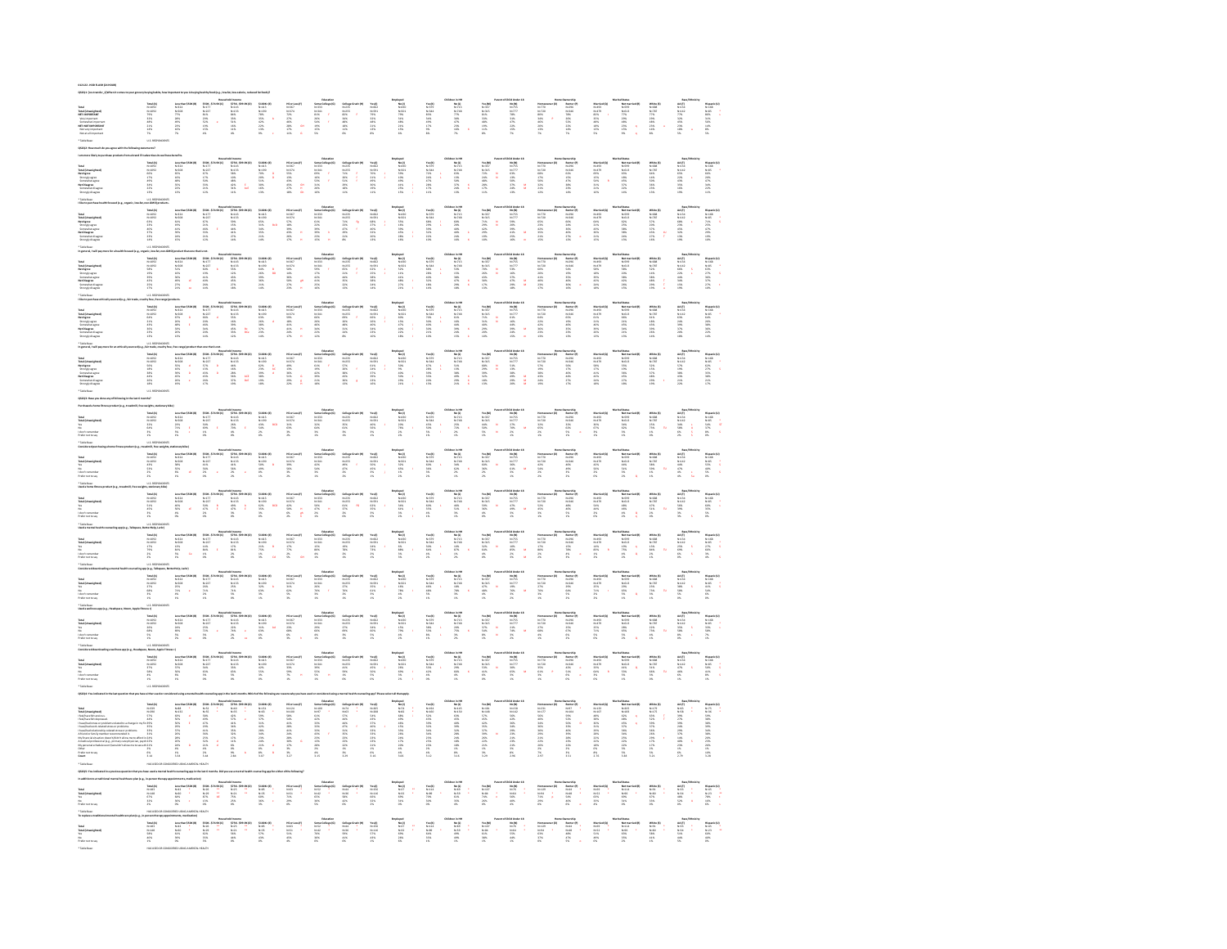|                                                                                                                                                    | Leachas\$2<br>N=128<br>N=108<br>77%<br>23%<br>23%<br>23%                                                                                                                                                                                                                                                                                                                                                                                       |  |  | $\begin{tabular}{l c c c c c} \hline \textbf{M} & \textbf{M} & \textbf{M} & \textbf{M} & \textbf{M} & \textbf{M} & \textbf{M} & \textbf{M} & \textbf{M} & \textbf{M} & \textbf{M} & \textbf{M} & \textbf{M} & \textbf{M} & \textbf{M} & \textbf{M} & \textbf{M} & \textbf{M} & \textbf{M} & \textbf{M} & \textbf{M} & \textbf{M} & \textbf{M} & \textbf{M} & \textbf{M} & \textbf{M} & \textbf{M} & \textbf{M} & \textbf$ |                                                                                                                                                                                                                                                                                                                                                                                                                           | Employed<br>Ma (2)<br>Noti 02<br>Noti 02<br>NYS<br>22%<br>22%<br>22%<br>22%<br>22%<br>22%                                                                                                                                     | <b>Yes(X)</b><br>Nold4<br>Nold4<br>RNN<br>RNN<br>LYN<br>LYN                      |                                                                                                                                                                                                                                  |                                                                                |                                                                      |                                                                                   |                                                                                                                                                                                          |                                                                                                                                                                                                                                                                                                                                                                                                                            |                                                                                                                                                                                                                                                                                                                                                                                                                                                                                      |
|----------------------------------------------------------------------------------------------------------------------------------------------------|------------------------------------------------------------------------------------------------------------------------------------------------------------------------------------------------------------------------------------------------------------------------------------------------------------------------------------------------------------------------------------------------------------------------------------------------|--|--|---------------------------------------------------------------------------------------------------------------------------------------------------------------------------------------------------------------------------------------------------------------------------------------------------------------------------------------------------------------------------------------------------------------------------|---------------------------------------------------------------------------------------------------------------------------------------------------------------------------------------------------------------------------------------------------------------------------------------------------------------------------------------------------------------------------------------------------------------------------|-------------------------------------------------------------------------------------------------------------------------------------------------------------------------------------------------------------------------------|----------------------------------------------------------------------------------|----------------------------------------------------------------------------------------------------------------------------------------------------------------------------------------------------------------------------------|--------------------------------------------------------------------------------|----------------------------------------------------------------------|-----------------------------------------------------------------------------------|------------------------------------------------------------------------------------------------------------------------------------------------------------------------------------------|----------------------------------------------------------------------------------------------------------------------------------------------------------------------------------------------------------------------------------------------------------------------------------------------------------------------------------------------------------------------------------------------------------------------------|--------------------------------------------------------------------------------------------------------------------------------------------------------------------------------------------------------------------------------------------------------------------------------------------------------------------------------------------------------------------------------------------------------------------------------------------------------------------------------------|
|                                                                                                                                                    |                                                                                                                                                                                                                                                                                                                                                                                                                                                |  |  |                                                                                                                                                                                                                                                                                                                                                                                                                           |                                                                                                                                                                                                                                                                                                                                                                                                                           |                                                                                                                                                                                                                               |                                                                                  |                                                                                                                                                                                                                                  |                                                                                |                                                                      |                                                                                   |                                                                                                                                                                                          |                                                                                                                                                                                                                                                                                                                                                                                                                            |                                                                                                                                                                                                                                                                                                                                                                                                                                                                                      |
| Tutal<br>Tutal Jänsenight<br>Not Agues<br>Scoreadult agre<br>Not Disagnes<br>Scoreadult disa<br>Scoreadult disa                                    | Leathan\$50K<br>N=1211<br>N=101<br>GSN<br>GSN<br>2215<br>2215                                                                                                                                                                                                                                                                                                                                                                                  |  |  | EN TRANSPORTE CONTRACTOR                                                                                                                                                                                                                                                                                                                                                                                                  |                                                                                                                                                                                                                                                                                                                                                                                                                           |                                                                                                                                                                                                                               |                                                                                  |                                                                                                                                                                                                                                  |                                                                                |                                                                      | Martied [2]<br>N=033<br>Sitts<br>Sitts<br>Sitts<br>Sitts<br>2215<br>2215          | Marind States<br>McChamind (M) = Which (M)<br>McChai<br>McChai<br>McChai<br>States<br>States<br>States<br>States<br>2016<br>2016<br>2016<br>2016<br>2016<br>2016<br>2016<br>2016<br>2016 | - Maco/Mihoicity<br>  McList<br>  McList<br>  GS% - G<br>  GS% - GS% - GS% - GS% - GS% - GS% - GS% - GS% - GS% - GS% - GS% - GS% - GS% - GS% - GS% - GS% - GS% - GS% - GS% - GS% - GS% - GS% - GS% - GS% - GS% - GS% - GS% - GS% - GS% - G                                                                                                                                                                                 | Magazolc [53]<br>  16:55<br>  16:15<br>  22:15<br>  22:15<br>  22:15                                                                                                                                                                                                                                                                                                                                                                                                                 |
| Tutal<br>Tutal Jänunighted<br>Not Ague<br>Scoolgy ague<br>Scoolad ague<br>Not Diaggee<br>Scoolad diagne<br>Scoolad diagne                          |                                                                                                                                                                                                                                                                                                                                                                                                                                                |  |  |                                                                                                                                                                                                                                                                                                                                                                                                                           |                                                                                                                                                                                                                                                                                                                                                                                                                           | Here is a construction of the contract of the contract of the contract of the contract of the contract of the contract of the contract of the contract of the contract of the contract of the contract of the contract of the |                                                                                  | FIRST FIRST FIRST                                                                                                                                                                                                                |                                                                                |                                                                      |                                                                                   |                                                                                                                                                                                          | $\begin{tabular}{ c c c c } \hline & Rase/Jthwizing & & & & & \\ \hline A\cap\{Y\} & & & & & & & \\ \hline S\cap\{X\} & & & & & & & \\ \hline S\cap\{X\} & & & & & & & \\ \hline S\cap\{X\} & & & & & & & \\ \hline S\cap\{X\} & & & & & & & \\ \hline S\cap\{X\} & & & & & & & \\ \hline S\cap\{X\} & & & & & & & \\ \hline S\cap\{X\} & & & & & & & \\ \hline S\cap\{X\} & & & & & & & \\ \hline S\cap\{X\} & & & & & &$ |                                                                                                                                                                                                                                                                                                                                                                                                                                                                                      |
| Tutal<br>Net Agree<br>Strice fly agree<br>Strice and at agree<br>Net Disagnee<br>Strice and at couple<br>Strice fly disagnee                       |                                                                                                                                                                                                                                                                                                                                                                                                                                                |  |  | FIFT FITT                                                                                                                                                                                                                                                                                                                                                                                                                 |                                                                                                                                                                                                                                                                                                                                                                                                                           | Employed<br>  760   760   760   760   761   762   763   764   763   764   765   765   765   766   766   766   766   766   766   766   767   768   769   760   760   760   760   760   760   760   760   760   760   760   760 |                                                                                  | FOR THE TELEVISION                                                                                                                                                                                                               |                                                                                |                                                                      |                                                                                   |                                                                                                                                                                                          | $\begin{array}{rcl} \textbf{RSO/IRMAGR} \\ \textbf{AA(3)} \\ \textbf{M=188} \\ \textbf{N=142} \\ \textbf{648} \\ \textbf{648} \\ \textbf{228} \\ \textbf{348} \\ \textbf{348} \\ \textbf{348} \\ \textbf{348} \\ \textbf{348} \\ \textbf{348} \\ \textbf{348} \\ \textbf{348} \\ \textbf{348} \\ \textbf{348} \\ \textbf{348} \\ \textbf{348} \\ \textbf{348} \\ \textbf{348} \\ \textbf{348} \\ \textbf{34$               | $\begin{array}{ccc} \mathbf{Higgsic}\,(34)\\ \mathbf{N:65} & 1\\ \mathbf{N:65} & 1\\ \mathbf{G:75} & 5\\ 275 & 5\\ 275 & 2\\ 275 & 7\\ 275 & 7\\ 275 & 7\\ 112 & 1\\ 125 & 1\\ 135 & 1\\ 145 & 1\\ 155 & 1\\ 165 & 1\\ 185 & 1\\ 195 & 1\\ 105 & 1\\ 116 & 1\\ 125 & 1\\ 135 & 1\\ 145 & 1\\ 165 & 1\\ 185 & 1\\ $                                                                                                                                                                   |
| Total<br>Total (Janusighted)<br>Not Agree<br>Scoredy agree<br>Scoredus agree<br>Not Disagne<br>Not Disagne<br>Scoredus alonger<br>Scoredus alonger |                                                                                                                                                                                                                                                                                                                                                                                                                                                |  |  |                                                                                                                                                                                                                                                                                                                                                                                                                           |                                                                                                                                                                                                                                                                                                                                                                                                                           |                                                                                                                                                                                                                               |                                                                                  | IT SERIE T                                                                                                                                                                                                                       |                                                                                |                                                                      |                                                                                   |                                                                                                                                                                                          | $\begin{array}{r} \text{Rian/Rhein} \\ \text{AA}\,(2) \\ \text{M=184} \\ \text{M=142} \\ \text{SFR} \\ \text{SFR} \\ \text{SFR} \\ \text{SFR} \\ \text{SFR} \\ \text{SFR} \\ \text{SFR} \\ \text{SFR} \\ \text{SFR} \\ \text{SFR} \\ \text{SFR} \\ \end{array}$                                                                                                                                                            | Magamic (M)<br>Notifies<br>Gets<br>Gets<br>Alts<br>Alts<br>Alts<br>Alts                                                                                                                                                                                                                                                                                                                                                                                                              |
| Tutal<br>Net Agose<br>Net Agose<br>Score gly agose<br>Score ad at Agose<br>Net Essayean<br>Score ad al disagree<br>Score ad al disagree            |                                                                                                                                                                                                                                                                                                                                                                                                                                                |  |  |                                                                                                                                                                                                                                                                                                                                                                                                                           |                                                                                                                                                                                                                                                                                                                                                                                                                           |                                                                                                                                                                                                                               |                                                                                  | HE FETTILL                                                                                                                                                                                                                       |                                                                                |                                                                      |                                                                                   |                                                                                                                                                                                          |                                                                                                                                                                                                                                                                                                                                                                                                                            | Mispanic (M)<br>No.568<br>No.655<br>G276 5<br>2276 5<br>2276 5                                                                                                                                                                                                                                                                                                                                                                                                                       |
| futal<br>futal (Unweighte<br>fisi<br>fan't remember<br>Frele: not ta say                                                                           |                                                                                                                                                                                                                                                                                                                                                                                                                                                |  |  |                                                                                                                                                                                                                                                                                                                                                                                                                           |                                                                                                                                                                                                                                                                                                                                                                                                                           |                                                                                                                                                                                                                               |                                                                                  | մանվ հայ հաստատեսատությունը հայտնակ հեռանակով համար հայ քաղաք է մանում երբ է մի մասնակող աշխատարի հայտնակ առաջ<br>Արտաքի հայ հայտարի մասնակում է աշխատարի հաստատեսական համար է որ մասնակում է այս մասին հասարատեղ հասարատեղ առա  |                                                                                |                                                                      |                                                                                   |                                                                                                                                                                                          |                                                                                                                                                                                                                                                                                                                                                                                                                            |                                                                                                                                                                                                                                                                                                                                                                                                                                                                                      |
| Tutal<br>Tutal (Unweighted<br>Yes<br>I don't remember<br>Prefer not to cay                                                                         |                                                                                                                                                                                                                                                                                                                                                                                                                                                |  |  |                                                                                                                                                                                                                                                                                                                                                                                                                           |                                                                                                                                                                                                                                                                                                                                                                                                                           |                                                                                                                                                                                                                               |                                                                                  | աստեխատգամբողատարանի հարումակցության հարում է միջոց առաջին հարում է մի մասնում է միջոց հարումական հարում է հար<br>Անդրի հարումակցող հարումակցություն է մի մասնում է այն հարում է ոչ որ մասնում աշխատանք առաջին առաջին առաջին հա  |                                                                                |                                                                      |                                                                                   |                                                                                                                                                                                          |                                                                                                                                                                                                                                                                                                                                                                                                                            |                                                                                                                                                                                                                                                                                                                                                                                                                                                                                      |
| Tutal<br>Tutal (Jawelghtes<br>Yes<br>I don't remember<br>Prefer not ta cay                                                                         |                                                                                                                                                                                                                                                                                                                                                                                                                                                |  |  |                                                                                                                                                                                                                                                                                                                                                                                                                           |                                                                                                                                                                                                                                                                                                                                                                                                                           |                                                                                                                                                                                                                               |                                                                                  |                                                                                                                                                                                                                                  |                                                                                |                                                                      |                                                                                   |                                                                                                                                                                                          |                                                                                                                                                                                                                                                                                                                                                                                                                            |                                                                                                                                                                                                                                                                                                                                                                                                                                                                                      |
| Tutal<br>Tutal (Jaweighted<br>Yo:<br>I dan't remember<br>Prefer nat tu say                                                                         |                                                                                                                                                                                                                                                                                                                                                                                                                                                |  |  |                                                                                                                                                                                                                                                                                                                                                                                                                           |                                                                                                                                                                                                                                                                                                                                                                                                                           |                                                                                                                                                                                                                               |                                                                                  | monanthuad) is monodoxical process in the company of the state of the construction in the monodoxical process in<br>Notice and the company of the state and the state and the two two two two two state state and the state o    |                                                                                |                                                                      |                                                                                   |                                                                                                                                                                                          |                                                                                                                                                                                                                                                                                                                                                                                                                            |                                                                                                                                                                                                                                                                                                                                                                                                                                                                                      |
| Tutal<br>Tutal (Jaweighted)<br>Yes<br>Idan't nonenber<br>Poler nat tu say                                                                          |                                                                                                                                                                                                                                                                                                                                                                                                                                                |  |  |                                                                                                                                                                                                                                                                                                                                                                                                                           |                                                                                                                                                                                                                                                                                                                                                                                                                           |                                                                                                                                                                                                                               |                                                                                  | oyoka Manusova (and the contentral parties) the contentral composited the contentral parties are associated to the contentral parties)<br>- And the contentral parties and the contentral composited the contral was a composite |                                                                                |                                                                      |                                                                                   |                                                                                                                                                                                          |                                                                                                                                                                                                                                                                                                                                                                                                                            |                                                                                                                                                                                                                                                                                                                                                                                                                                                                                      |
| Tutal<br>Tutal (Jawanighted)<br>Yo:<br>I don't remember<br>Prefer not to cay                                                                       |                                                                                                                                                                                                                                                                                                                                                                                                                                                |  |  |                                                                                                                                                                                                                                                                                                                                                                                                                           |                                                                                                                                                                                                                                                                                                                                                                                                                           |                                                                                                                                                                                                                               |                                                                                  | FOR FOR FILLE FOR FOR STRIP FOR FOR                                                                                                                                                                                              |                                                                                |                                                                      |                                                                                   |                                                                                                                                                                                          |                                                                                                                                                                                                                                                                                                                                                                                                                            |                                                                                                                                                                                                                                                                                                                                                                                                                                                                                      |
| Total<br>Total (Linuxelgited)<br>Tot<br>Total romenber<br>Preferent to tay                                                                         |                                                                                                                                                                                                                                                                                                                                                                                                                                                |  |  |                                                                                                                                                                                                                                                                                                                                                                                                                           |                                                                                                                                                                                                                                                                                                                                                                                                                           |                                                                                                                                                                                                                               |                                                                                  | ואת המשפחה של המשפחה של המשפחה של המשפחה לא היה לא היה לא היה לא היה לא היה לא היה לא היה לא היה לא היה לא היה<br>האו האו האו לא היה לא היה לא היה לא היה לא היה לא היה לא היה לא היה לא היה לא היה לא היה לא היה לא היה לא היה  |                                                                                |                                                                      |                                                                                   |                                                                                                                                                                                          |                                                                                                                                                                                                                                                                                                                                                                                                                            |                                                                                                                                                                                                                                                                                                                                                                                                                                                                                      |
|                                                                                                                                                    | $\begin{array}{cccccccccccc} \mbox{for the FDR} & \mbox{for FDR} & \mbox{for FDR} & \mbox{for FDR} & \mbox{for FDR} & \mbox{for FDR} & \mbox{for FDR} & \mbox{for FDR} & \mbox{for FDR} & \mbox{for FDR} & \mbox{for FDR} & \mbox{for FDR} & \mbox{for FDR} & \mbox{for FDR} & \mbox{for FDR} & \mbox{for FDR} & \mbox{for FDR} & \mbox{for FDR} & \mbox{for FDR} & \mbox{for FDR} & \mbox{for FDR} & \mbox{for FDR} & \mbox{for FDR} & \mbox$ |  |  | $\begin{tabular}{ c c c c c c } \hline 15350-30 & \mbox{Milota} & 140-04000 & \mbox{Milota} & 140-04000 & \mbox{Milota} \\ \hline 8.411 & 8.4118 & 8.402 & \mbox{Milota} & 140-0400 & \mbox{Milota} \\ \hline 9.411 & 9.412 & 1414 & 1414 & 1414 & \mbox{Milota} \\ \hline 19.71 & 19.71 & 19.71 & 1414 & 1414 & \mbox{M$                                                                                                 | $\begin{tabular}{ c c c c c } \hline \textbf{C}alq\textbf{a} & \textbf{0} & \textbf{0} & \textbf{0} & \textbf{0} & \textbf{0} & \textbf{0} \\ \hline \textbf{N} & \textbf{0} & \textbf{0} & \textbf{0} & \textbf{0} & \textbf{0} & \textbf{0} & \textbf{0} & \textbf{0} \\ \textbf{N} & \textbf{0} & \textbf{0} & \textbf{0} & \textbf{0} & \textbf{0} & \textbf{0} & \textbf{0} & \textbf{0} & \textbf{0} \\ \textbf{N}$ |                                                                                                                                                                                                                               | Welly<br>Noted Noted<br>SJN<br>SJN<br>SHN 225<br>225<br>225<br>225<br>225<br>225 | Children in 1996<br>  1945 01:<br>  1945 02:<br>  1955 02:<br>  1955 02:<br>  1955<br>  1955<br>  1955 02:                                                                                                                       | Children<br>N=158<br>N=152<br>SSS 4255<br>2255<br>2255<br>2255<br>2255<br>2255 | Mamed<br>N=131 56%<br>SSS 40%<br>SSS 30%<br>21%<br>21%<br>21%<br>21% | Maried (2)<br>N=111<br>N=105<br>SHS<br>SHS<br>SHS<br>2215<br>2215<br>2215<br>2215 | vital Matua<br>  North Statistics <br>  North  North <br>  North  4<br>  40%<br>  40%<br>  40%<br>  40%<br>  40%<br>  40%<br>  40%<br>  40%<br>  40%<br>  40%<br>  40%<br>  40%<br>  40% | Man    Mah<br>  Mah    Mah    Mah    Mah    Mah    Mah    Mah    Mah    Mah    Mah    Mah    Mah    Mah    Mah    Mah    Mah<br>  Mah    Mah    Mah    Mah    Mah    Mah    Mah    Mah    Mah    Mah    Mah    Mah    Mah    Mah                                                                                                                                                                                           |                                                                                                                                                                                                                                                                                                                                                                                                                                                                                      |
| Tutal<br>Tutal (Jaweighted)<br>Yo:<br>Prefer not to say                                                                                            |                                                                                                                                                                                                                                                                                                                                                                                                                                                |  |  |                                                                                                                                                                                                                                                                                                                                                                                                                           |                                                                                                                                                                                                                                                                                                                                                                                                                           |                                                                                                                                                                                                                               |                                                                                  | THE PITTLETT PITTLE                                                                                                                                                                                                              |                                                                                |                                                                      |                                                                                   |                                                                                                                                                                                          |                                                                                                                                                                                                                                                                                                                                                                                                                            | $\begin{array}{l} \mathsf{Hapasis}\left(0\right)\\ \mathsf{N=13}\\ \mathsf{N=23}\\ \mathsf{72\,S} \\ \mathsf{72\,S} \\ \mathsf{13\,S} \end{array} \begin{array}{l} \bullet\\ \bullet\\ \bullet\\ \mathsf{1}\\ \mathsf{2}\\ \mathsf{2}\\ \mathsf{2}\\ \mathsf{2}\\ \mathsf{2}\\ \mathsf{2}\\ \mathsf{2}\\ \mathsf{2}\\ \mathsf{2}\\ \mathsf{2}\\ \mathsf{2}\\ \mathsf{2}\\ \mathsf{2}\\ \mathsf{2}\\ \mathsf{2}\\ \mathsf{2}\\ \mathsf{2}\\ \mathsf{2}\\ \mathsf{2}\\ \mathsf{2}\\ \$ |
| Tutal<br>Tutal (Linumighted)<br>Yes<br>Ma<br>Prefer not 16 day                                                                                     |                                                                                                                                                                                                                                                                                                                                                                                                                                                |  |  |                                                                                                                                                                                                                                                                                                                                                                                                                           |                                                                                                                                                                                                                                                                                                                                                                                                                           |                                                                                                                                                                                                                               |                                                                                  |                                                                                                                                                                                                                                  |                                                                                |                                                                      |                                                                                   |                                                                                                                                                                                          |                                                                                                                                                                                                                                                                                                                                                                                                                            |                                                                                                                                                                                                                                                                                                                                                                                                                                                                                      |

**012122 - HOD FLASH (24 HOUR)**

\* Table Base: HAS USED OR CONSIDERED USING A MENTAL HEALTH